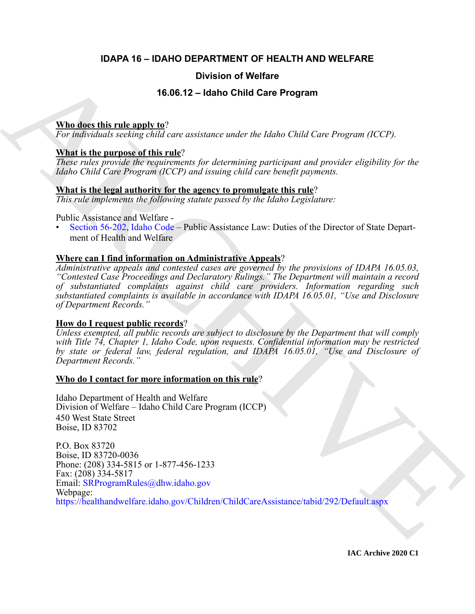### **IDAPA 16 – IDAHO DEPARTMENT OF HEALTH AND WELFARE**

#### **Division of Welfare**

#### **16.06.12 – Idaho Child Care Program**

#### **Who does this rule apply to**?

*For individuals seeking child care assistance under the Idaho Child Care Program (ICCP).*

#### **What is the purpose of this rule**?

*These rules provide the requirements for determining participant and provider eligibility for the Idaho Child Care Program (ICCP) and issuing child care benefit payments.*

#### **What is the legal authority for the agency to promulgate this rule**?

*This rule implements the following statute passed by the Idaho Legislature:*

Public Assistance and Welfare -

• Section 56-202, Idaho Code – Public Assistance Law: Duties of the Director of State Department of Health and Welfare

#### **Where can I find information on Administrative Appeals**?

*Administrative appeals and contested cases are governed by the provisions of IDAPA 16.05.03, "Contested Case Proceedings and Declaratory Rulings." The Department will maintain a record of substantiated complaints against child care providers. Information regarding such substantiated complaints is available in accordance with IDAPA 16.05.01, "Use and Disclosure of Department Records."*

#### **How do I request public records**?

*Unless exempted, all public records are subject to disclosure by the Department that will comply with Title 74, Chapter 1, Idaho Code, upon requests. Confidential information may be restricted by state or federal law, federal regulation, and IDAPA 16.05.01, "Use and Disclosure of Department Records."*

#### **Who do I contact for more information on this rule**?

Idaho Department of Health and Welfare Division of Welfare – Idaho Child Care Program (ICCP) 450 West State Street Boise, ID 83702

Division of Welfare<br>
16.06.12 – Idaho Child Care Program<br>
The disc this rule angly to<br>
The individuals scaling dual care associate and the Idaho Child Care Program (ICCP)<br>
That is the particular disc to this respect to th P.O. Box 83720 Boise, ID 83720-0036 Phone: (208) 334-5815 or 1-877-456-1233 Fax: (208) 334-5817 Email: SRProgramRules@dhw.idaho.gov Webpage: https://healthandwelfare.idaho.gov/Children/ChildCareAssistance/tabid/292/Default.aspx

**IAC Archive 2020 C1**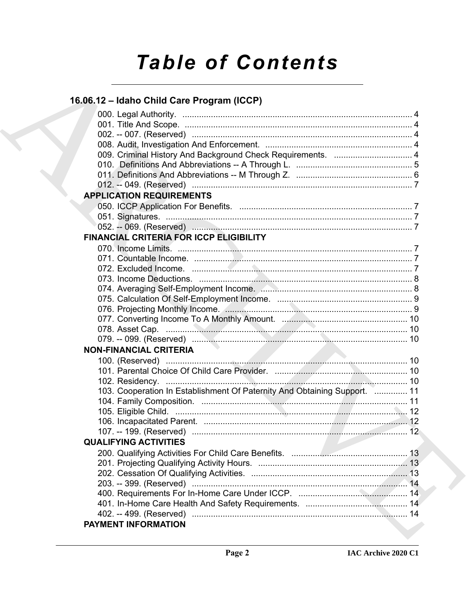# **Table of Contents**

| 16.06.12 - Idaho Child Care Program (ICCP)                                |  |
|---------------------------------------------------------------------------|--|
|                                                                           |  |
|                                                                           |  |
|                                                                           |  |
|                                                                           |  |
|                                                                           |  |
|                                                                           |  |
|                                                                           |  |
|                                                                           |  |
| <b>APPLICATION REQUIREMENTS</b>                                           |  |
|                                                                           |  |
|                                                                           |  |
|                                                                           |  |
| <b>FINANCIAL CRITERIA FOR ICCP ELIGIBILITY</b>                            |  |
|                                                                           |  |
|                                                                           |  |
|                                                                           |  |
|                                                                           |  |
|                                                                           |  |
|                                                                           |  |
|                                                                           |  |
|                                                                           |  |
|                                                                           |  |
| <b>NON-FINANCIAL CRITERIA</b>                                             |  |
|                                                                           |  |
|                                                                           |  |
|                                                                           |  |
| 103. Cooperation In Establishment Of Paternity And Obtaining Support.  11 |  |
|                                                                           |  |
|                                                                           |  |
|                                                                           |  |
|                                                                           |  |
| <b>QUALIFYING ACTIVITIES</b>                                              |  |
|                                                                           |  |
|                                                                           |  |
|                                                                           |  |
|                                                                           |  |
|                                                                           |  |
|                                                                           |  |
|                                                                           |  |
| PAYMENT INFORMATION                                                       |  |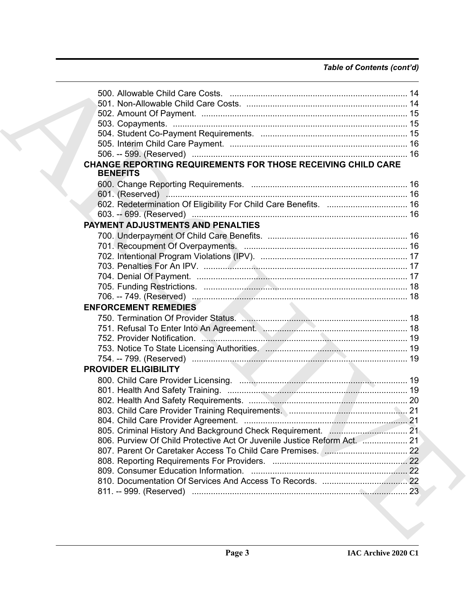### *Table of Contents (cont'd)*

| <b>CHANGE REPORTING REQUIREMENTS FOR THOSE RECEIVING CHILD CARE</b><br><b>BENEFITS</b> |  |
|----------------------------------------------------------------------------------------|--|
|                                                                                        |  |
|                                                                                        |  |
|                                                                                        |  |
|                                                                                        |  |
|                                                                                        |  |
| <b>PAYMENT ADJUSTMENTS AND PENALTIES</b>                                               |  |
|                                                                                        |  |
|                                                                                        |  |
|                                                                                        |  |
|                                                                                        |  |
|                                                                                        |  |
|                                                                                        |  |
|                                                                                        |  |
| <b>ENFORCEMENT REMEDIES</b>                                                            |  |
|                                                                                        |  |
| 751. Refusal To Enter Into An Agreement. Management. 2006. The Communication of 18     |  |
|                                                                                        |  |
|                                                                                        |  |
|                                                                                        |  |
| <b>PROVIDER ELIGIBILITY</b>                                                            |  |
|                                                                                        |  |
|                                                                                        |  |
|                                                                                        |  |
|                                                                                        |  |
|                                                                                        |  |
|                                                                                        |  |
|                                                                                        |  |
| 806. Purview Of Child Protective Act Or Juvenile Justice Reform Act.  21               |  |
|                                                                                        |  |
|                                                                                        |  |
|                                                                                        |  |
|                                                                                        |  |
|                                                                                        |  |
|                                                                                        |  |
|                                                                                        |  |
|                                                                                        |  |
|                                                                                        |  |
|                                                                                        |  |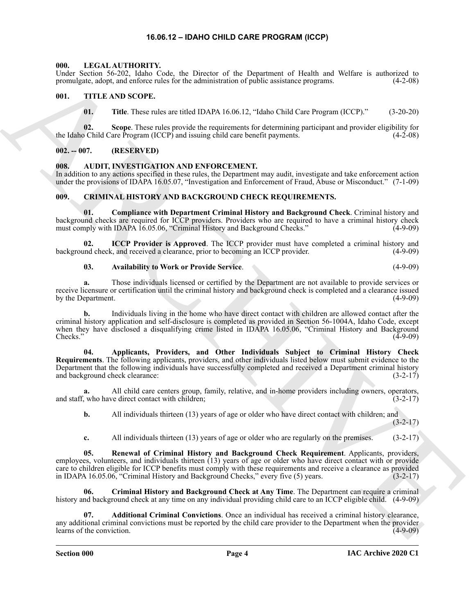#### **16.06.12 – IDAHO CHILD CARE PROGRAM (ICCP)**

#### <span id="page-3-15"></span><span id="page-3-1"></span><span id="page-3-0"></span>**000. LEGAL AUTHORITY.**

Under Section 56-202, Idaho Code, the Director of the Department of Health and Welfare is authorized to promulgate, adopt, and enforce rules for the administration of public assistance programs. (4-2-08)

#### <span id="page-3-2"></span>**001. TITLE AND SCOPE.**

<span id="page-3-16"></span>**01. Title**. These rules are titled IDAPA 16.06.12, "Idaho Child Care Program (ICCP)." (3-20-20)

**02.** Scope. These rules provide the requirements for determining participant and provider eligibility for of Child Care Program (ICCP) and issuing child care benefit payments. (4-2-08) the Idaho Child Care Program (ICCP) and issuing child care benefit payments.

#### <span id="page-3-3"></span>**002. -- 007. (RESERVED)**

#### <span id="page-3-6"></span><span id="page-3-4"></span>**008. AUDIT, INVESTIGATION AND ENFORCEMENT.**

In addition to any actions specified in these rules, the Department may audit, investigate and take enforcement action under the provisions of IDAPA 16.05.07, "Investigation and Enforcement of Fraud, Abuse or Misconduct." (7-1-09)

#### <span id="page-3-7"></span><span id="page-3-5"></span>**009. CRIMINAL HISTORY AND BACKGROUND CHECK REQUIREMENTS.**

<span id="page-3-11"></span>**01. Compliance with Department Criminal History and Background Check**. Criminal history and background checks are required for ICCP providers. Providers who are required to have a criminal history check must comply with IDAPA 16.05.06, "Criminal History and Background Checks." (4-9-09)

**ICCP Provider is Approved**. The ICCP provider must have completed a criminal history and consider, and received a clearance, prior to becoming an ICCP provider. (4-9-09) background check, and received a clearance, prior to becoming an ICCP provider.

<span id="page-3-13"></span><span id="page-3-10"></span>**03. Availability to Work or Provide Service**. (4-9-09)

**a.** Those individuals licensed or certified by the Department are not available to provide services or receive licensure or certification until the criminal history and background check is completed and a clearance issued<br>by the Department. (4-9-09) by the Department.

<span id="page-3-9"></span>**b.** Individuals living in the home who have direct contact with children are allowed contact after the criminal history application and self-disclosure is completed as provided in Section 56-1004A, Idaho Code, except when they have disclosed a disqualifying crime listed in IDAPA 16.05.06, "Criminal History and Background  $\text{Checks."}$  (4-9-09)

Using Social Statistics of the Descent of the Descenter of the Research of Telebra and Velocity is a subsequent of the Descent of the Society of the Society of the Society of the Society of the Society of the Society of t **04. Applicants, Providers, and Other Individuals Subject to Criminal History Check Requirements**. The following applicants, providers, and other individuals listed below must submit evidence to the Department that the following individuals have successfully completed and received a Department criminal history and background check clearance: (3-2-17)

**a.** All child care centers group, family, relative, and in-home providers including owners, operators, and staff, who have direct contact with children; (3-2-17)

**b.** All individuals thirteen (13) years of age or older who have direct contact with children; and  $(3-2-17)$ 

<span id="page-3-14"></span><span id="page-3-12"></span>**c.** All individuals thirteen (13) years of age or older who are regularly on the premises. (3-2-17)

**05. Renewal of Criminal History and Background Check Requirement**. Applicants, providers, employees, volunteers, and individuals thirteen (13) years of age or older who have direct contact with or provide care to children eligible for ICCP benefits must comply with these requirements and receive a clearance as provided in IDAPA 16.05.06, "Criminal History and Background Checks," every five (5) years. (3-2-17)

**06. Criminal History and Background Check at Any Time**. The Department can require a criminal history and background check at any time on any individual providing child care to an ICCP eligible child. (4-9-09)

<span id="page-3-8"></span>**07. Additional Criminal Convictions**. Once an individual has received a criminal history clearance, any additional criminal convictions must be reported by the child care provider to the Department when the provider learns of the conviction. (4-9-09) learns of the conviction.

**Section 000 Page 4**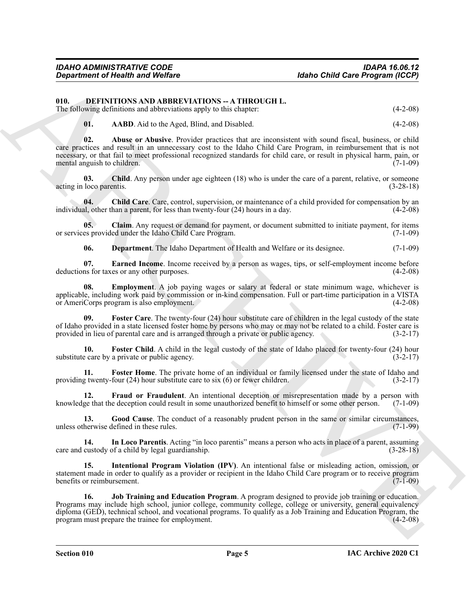#### <span id="page-4-0"></span>**010. DEFINITIONS AND ABBREVIATIONS -- A THROUGH L.**

The following definitions and abbreviations apply to this chapter: (4-2-08)

<span id="page-4-3"></span><span id="page-4-2"></span><span id="page-4-1"></span>**01. AABD**. Aid to the Aged, Blind, and Disabled. (4-2-08)

Geyarinnen of Nearth and Wolfare<br>
10. Burella The March Model (Anti-Barrel Model (Anti-Barrel Model (Anti-Barrel Model (Anti-Barrel Model Model)<br>
11. Schwaring of the low and addressing the statistics change of the statis **02. Abuse or Abusive**. Provider practices that are inconsistent with sound fiscal, business, or child care practices and result in an unnecessary cost to the Idaho Child Care Program, in reimbursement that is not necessary, or that fail to meet professional recognized standards for child care, or result in physical harm, pain, or mental anguish to children. (7-1-09) (7-1-09)

<span id="page-4-4"></span>**03.** Child. Any person under age eighteen (18) who is under the care of a parent, relative, or someone loco parentis. (3-28-18) acting in loco parentis.

<span id="page-4-5"></span>**04.** Child Care. Care, control, supervision, or maintenance of a child provided for compensation by an all, other than a parent, for less than twenty-four (24) hours in a day. (4-2-08) individual, other than a parent, for less than twenty-four  $(24)$  hours in a day.

**05. Claim**. Any request or demand for payment, or document submitted to initiate payment, for items or services provided under the Idaho Child Care Program. (7-1-09)

<span id="page-4-9"></span><span id="page-4-8"></span><span id="page-4-7"></span><span id="page-4-6"></span>**06. Department**. The Idaho Department of Health and Welfare or its designee. (7-1-09)

**07. Earned Income**. Income received by a person as wages, tips, or self-employment income before deductions for taxes or any other purposes. (4-2-08)

**08. Employment**. A job paying wages or salary at federal or state minimum wage, whichever is applicable, including work paid by commission or in-kind compensation. Full or part-time participation in a VISTA or AmeriCorps program is also employment. (4-2-08)

<span id="page-4-10"></span>**09. Foster Care**. The twenty-four (24) hour substitute care of children in the legal custody of the state of Idaho provided in a state licensed foster home by persons who may or may not be related to a child. Foster care is provided in lieu of parental care and is arranged through a private or public agency. (3-2-17)

<span id="page-4-11"></span>**10.** Foster Child. A child in the legal custody of the state of Idaho placed for twenty-four (24) hour e care by a private or public agency. (3-2-17) substitute care by a private or public agency.

<span id="page-4-12"></span>**11. Foster Home**. The private home of an individual or family licensed under the state of Idaho and providing twenty-four (24) hour substitute care to six (6) or fewer children. (3-2-17)

<span id="page-4-13"></span>**12. Fraud or Fraudulent**. An intentional deception or misrepresentation made by a person with knowledge that the deception could result in some unauthorized benefit to himself or some other person. (7-1-09)

<span id="page-4-14"></span>**13.** Good Cause. The conduct of a reasonably prudent person in the same or similar circumstances, herwise defined in these rules. (7-1-99) unless otherwise defined in these rules.

<span id="page-4-15"></span>**14. In Loco Parentis**. Acting "in loco parentis" means a person who acts in place of a parent, assuming care and custody of a child by legal guardianship. (3-28-18)

<span id="page-4-16"></span>**15. Intentional Program Violation (IPV)**. An intentional false or misleading action, omission, or statement made in order to qualify as a provider or recipient in the Idaho Child Care program or to receive program benefits or reimbursement. (7-1-09)

<span id="page-4-17"></span>**16. Job Training and Education Program**. A program designed to provide job training or education. Programs may include high school, junior college, community college, college or university, general equivalency diploma (GED), technical school, and vocational programs. To qualify as a Job Training and Education Program, the program must prepare the trainee for employment. (4-2-08)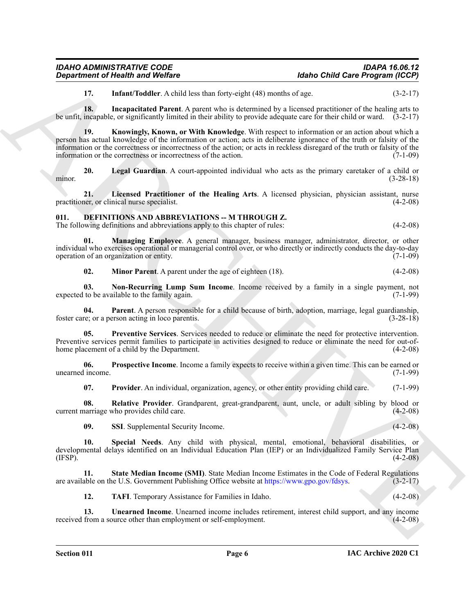<span id="page-5-17"></span><span id="page-5-16"></span><span id="page-5-15"></span>**17.** Infant/Toddler. A child less than forty-eight (48) months of age. (3-2-17)

**18. Incapacitated Parent**. A parent who is determined by a licensed practitioner of the healing arts to be unfit, incapable, or significantly limited in their ability to provide adequate care for their child or ward. (3-2-17)

**Expariment of Health weat Welfare**<br>
12. Interaction of the studies of the studies of the studies of the studies of the studies of the studies of the studies of the studies of the studies of the studies of the studies of **19. Knowingly, Known, or With Knowledge**. With respect to information or an action about which a person has actual knowledge of the information or action; acts in deliberate ignorance of the truth or falsity of the information or the correctness or incorrectness of the action; or acts in reckless disregard of the truth or falsity of the information or the correctness or incorrectness of the action. (7-1-09)

<span id="page-5-18"></span>**20. Legal Guardian**. A court-appointed individual who acts as the primary caretaker of a child or minor. (3-28-18)

<span id="page-5-19"></span>**21. Licensed Practitioner of the Healing Arts**. A licensed physician, physician assistant, nurse practitioner, or clinical nurse specialist. (4-2-08)

<span id="page-5-1"></span><span id="page-5-0"></span>**011. DEFINITIONS AND ABBREVIATIONS -- M THROUGH Z.** The following definitions and abbreviations apply to this chapter of rules: (4-2-08)

**01. Managing Employee**. A general manager, business manager, administrator, director, or other individual who exercises operational or managerial control over, or who directly or indirectly conducts the day-to-day operation of an organization or entity.

<span id="page-5-5"></span><span id="page-5-4"></span><span id="page-5-3"></span><span id="page-5-2"></span>**02. Minor Parent**. A parent under the age of eighteen (18). (4-2-08)

**03. Non-Recurring Lump Sum Income**. Income received by a family in a single payment, not expected to be available to the family again. (7-1-99)

**04. Parent**. A person responsible for a child because of birth, adoption, marriage, legal guardianship, foster care; or a person acting in loco parentis. (3-28-18)

<span id="page-5-6"></span>**05. Preventive Services**. Services needed to reduce or eliminate the need for protective intervention. Preventive services permit families to participate in activities designed to reduce or eliminate the need for out-ofhome placement of a child by the Department. (4-2-08)

**06. Prospective Income**. Income a family expects to receive within a given time. This can be earned or  $(7-1-99)$ unearned income.

<span id="page-5-9"></span><span id="page-5-8"></span><span id="page-5-7"></span>**07. Provider**. An individual, organization, agency, or other entity providing child care. (7-1-99)

**08. Relative Provider**. Grandparent, great-grandparent, aunt, uncle, or adult sibling by blood or current marriage who provides child care. (4-2-08)

<span id="page-5-11"></span><span id="page-5-10"></span>**09.** SSI. Supplemental Security Income. (4-2-08)

**10. Special Needs**. Any child with physical, mental, emotional, behavioral disabilities, or developmental delays identified on an Individual Education Plan (IEP) or an Individualized Family Service Plan (IFSP).  $(4-2-08)$ 

**11. State Median Income (SMI)**. State Median Income Estimates in the Code of Federal Regulations are available on the U.S. Government Publishing Office website at https://www.gpo.gov/fdsys. (3-2-17)

<span id="page-5-14"></span><span id="page-5-13"></span><span id="page-5-12"></span>**12. TAFI**. Temporary Assistance for Families in Idaho. (4-2-08)

**13.** Unearned Income. Unearned income includes retirement, interest child support, and any income from a source other than employment or self-employment. (4-2-08) received from a source other than employment or self-employment.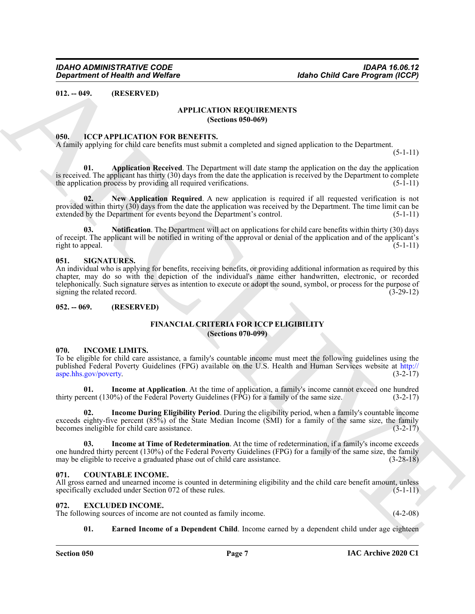<span id="page-6-1"></span><span id="page-6-0"></span>**012. -- 049. (RESERVED)**

#### <span id="page-6-9"></span>**APPLICATION REQUIREMENTS (Sections 050-069)**

#### <span id="page-6-14"></span><span id="page-6-2"></span>**050. ICCP APPLICATION FOR BENEFITS.**

A family applying for child care benefits must submit a completed and signed application to the Department.

 $(5-1-11)$ 

<span id="page-6-15"></span>**01. Application Received**. The Department will date stamp the application on the day the application is received. The applicant has thirty (30) days from the date the application is received by the Department to complete the application process by providing all required verifications.  $(5-1-11)$ 

<span id="page-6-16"></span>**02. New Application Required**. A new application is required if all requested verification is not provided within thirty (30) days from the date the application was received by the Department. The time limit can be extended by the Department for events beyond the Department's control. (5-1-11)

<span id="page-6-17"></span>**03. Notification**. The Department will act on applications for child care benefits within thirty (30) days of receipt. The applicant will be notified in writing of the approval or denial of the application and of the applicant's right to appeal. (5-1-11) (5-1-11)

#### <span id="page-6-22"></span><span id="page-6-3"></span>**051. SIGNATURES.**

Generation of Health was Welfare<br>
(F2. 2-49). (HASEN[V](http://aspe.hhs.gov/poverty)AD)<br>
ATPLICATION REQUIRENTLYS<br>
SATEL ATTON REQUIRENTLYS<br>
SATEL ATTON REQUIRENTLYS<br>
SATEL ATTON PROVIDENT INTO A CONTINUES INTO THE CONTINUES OF THE CONTINUES OF THE CON An individual who is applying for benefits, receiving benefits, or providing additional information as required by this chapter, may do so with the depiction of the individual's name either handwritten, electronic, or recorded telephonically. Such signature serves as intention to execute or adopt the sound, symbol, or process for the purpose of signing the related record. (3-29-12)

#### <span id="page-6-5"></span><span id="page-6-4"></span>**052. -- 069. (RESERVED)**

#### <span id="page-6-13"></span>**FINANCIAL CRITERIA FOR ICCP ELIGIBILITY (Sections 070-099)**

#### <span id="page-6-18"></span><span id="page-6-6"></span>**070. INCOME LIMITS.**

To be eligible for child care assistance, a family's countable income must meet the following guidelines using the published Federal Poverty Guidelines (FPG) available on the U.S. Health and Human Services website at http:// aspe.hhs.gov/poverty. (3-2-17)

<span id="page-6-19"></span>**01. Income at Application**. At the time of application, a family's income cannot exceed one hundred thirty percent (130%) of the Federal Poverty Guidelines (FPG) for a family of the same size. (3-2-17)

<span id="page-6-21"></span>**02. Income During Eligibility Period**. During the eligibility period, when a family's countable income exceeds eighty-five percent (85%) of the State Median Income (SMI) for a family of the same size, the family becomes ineligible for child care assistance. becomes ineligible for child care assistance.

<span id="page-6-20"></span>**03. Income at Time of Redetermination**. At the time of redetermination, if a family's income exceeds one hundred thirty percent (130%) of the Federal Poverty Guidelines (FPG) for a family of the same size, the family may be eligible to receive a graduated phase out of child care assistance. (3-28-18) may be eligible to receive a graduated phase out of child care assistance.

#### <span id="page-6-10"></span><span id="page-6-7"></span>**071. COUNTABLE INCOME.**

All gross earned and unearned income is counted in determining eligibility and the child care benefit amount, unless specifically excluded under Section 072 of these rules. (5-1-11)

#### <span id="page-6-11"></span><span id="page-6-8"></span>**072. EXCLUDED INCOME.**

The following sources of income are not counted as family income. (4-2-08)

<span id="page-6-12"></span>**01.** Earned Income of a Dependent Child. Income earned by a dependent child under age eighteen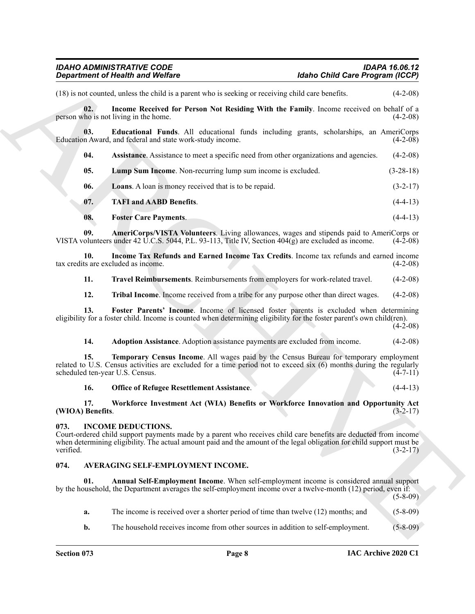(18) is not counted, unless the child is a parent who is seeking or receiving child care benefits. (4-2-08)

<span id="page-7-10"></span>**02.** Income Received for Person Not Residing With the Family. Income received on behalf of a ho is not living in the home. person who is not living in the home.

**03. Educational Funds**. All educational funds including grants, scholarships, an AmeriCorps Education Award, and federal and state work-study income.

<span id="page-7-7"></span><span id="page-7-6"></span>**04.** Assistance. Assistance to meet a specific need from other organizations and agencies. (4-2-08)

<span id="page-7-13"></span>**05. Lump Sum Income**. Non-recurring lump sum income is excluded. (3-28-18)

<span id="page-7-12"></span>**06.** Loans. A loan is money received that is to be repaid. (3-2-17)

- <span id="page-7-15"></span>**07. TAFI and AABD Benefits**. (4-4-13)
- <span id="page-7-8"></span><span id="page-7-5"></span>**08. Foster Care Payments**. (4-4-13)

**09. AmeriCorps/VISTA Volunteers**. Living allowances, wages and stipends paid to AmeriCorps or olunteers under 42 U.C.S. 5044, P.L. 93-113, Title IV, Section 404(g) are excluded as income. (4-2-08) VISTA volunteers under 42 U.C.S. 5044, P.L. 93-113, Title IV, Section  $404(g)$  are excluded as income.

**10. Income Tax Refunds and Earned Income Tax Credits**. Income tax refunds and earned income tax credits are excluded as income.

<span id="page-7-17"></span><span id="page-7-11"></span>**11. Travel Reimbursements**. Reimbursements from employers for work-related travel. (4-2-08)

<span id="page-7-18"></span><span id="page-7-9"></span>**12. Tribal Income**. Income received from a tribe for any purpose other than direct wages. (4-2-08)

**13. Foster Parents' Income**. Income of licensed foster parents is excluded when determining eligibility for a foster child. Income is counted when determining eligibility for the foster parent's own child(ren).  $(4-2-08)$ 

<span id="page-7-16"></span><span id="page-7-4"></span>**14. Adoption Assistance**. Adoption assistance payments are excluded from income. (4-2-08)

Generation of Nearly Worker<br>
(13) and some because the section and be spectral to the section of Nearly Theorem (20)<br>
(13) and the section for Private Resulting With the Resulting With the Section Section (4-2-4)<br>
The sec **15. Temporary Census Income**. All wages paid by the Census Bureau for temporary employment related to U.S. Census activities are excluded for a time period not to exceed six (6) months during the regularly scheduled ten-vear U.S. Census. (4-7-11) scheduled ten-year U.S. Census.

#### <span id="page-7-19"></span><span id="page-7-14"></span>**16. Office of Refugee Resettlement Assistance**. (4-4-13)

#### **17. Workforce Investment Act (WIA) Benefits or Workforce Innovation and Opportunity Act (WIOA) Benefits**. (3-2-17)

#### <span id="page-7-20"></span><span id="page-7-0"></span>**073. INCOME DEDUCTIONS.**

Court-ordered child support payments made by a parent who receives child care benefits are deducted from income when determining eligibility. The actual amount paid and the amount of the legal obligation for child support must be verified.  $(3-2-17)$ 

#### <span id="page-7-2"></span><span id="page-7-1"></span>**074. AVERAGING SELF-EMPLOYMENT INCOME.**

**01. Annual Self-Employment Income**. When self-employment income is considered annual support by the household, the Department averages the self-employment income over a twelve-month (12) period, even if: (5-8-09)

<span id="page-7-3"></span>**a.** The income is received over a shorter period of time than twelve (12) months; and (5-8-09)

**b.** The household receives income from other sources in addition to self-employment. (5-8-09)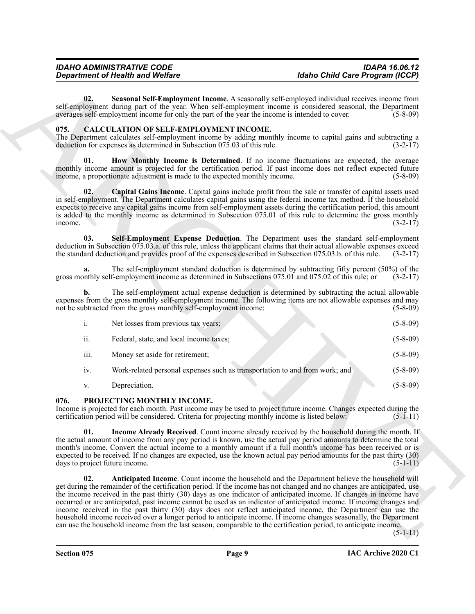#### <span id="page-8-9"></span><span id="page-8-8"></span><span id="page-8-7"></span><span id="page-8-6"></span><span id="page-8-5"></span><span id="page-8-4"></span><span id="page-8-3"></span><span id="page-8-2"></span><span id="page-8-1"></span><span id="page-8-0"></span>**075. CALCULATION OF SELF-EMPLOYMENT INCOME.**

|                                       | <b>Department of Health and Welfare</b>                                                                                                                                                                                                                                                                                                                                                                                                                                                                                                                                                                                                                                                                                                                                                                                        | <b>Idaho Child Care Program (ICCP)</b> |
|---------------------------------------|--------------------------------------------------------------------------------------------------------------------------------------------------------------------------------------------------------------------------------------------------------------------------------------------------------------------------------------------------------------------------------------------------------------------------------------------------------------------------------------------------------------------------------------------------------------------------------------------------------------------------------------------------------------------------------------------------------------------------------------------------------------------------------------------------------------------------------|----------------------------------------|
| 02.                                   | Seasonal Self-Employment Income. A seasonally self-employed individual receives income from<br>self-employment during part of the year. When self-employment income is considered seasonal, the Department<br>averages self-employment income for only the part of the year the income is intended to cover.                                                                                                                                                                                                                                                                                                                                                                                                                                                                                                                   | $(5-8-09)$                             |
| 075.                                  | CALCULATION OF SELF-EMPLOYMENT INCOME.<br>The Department calculates self-employment income by adding monthly income to capital gains and subtracting a<br>deduction for expenses as determined in Subsection 075.03 of this rule.                                                                                                                                                                                                                                                                                                                                                                                                                                                                                                                                                                                              | $(3-2-17)$                             |
| 01.                                   | How Monthly Income is Determined. If no income fluctuations are expected, the average<br>monthly income amount is projected for the certification period. If past income does not reflect expected future<br>income, a proportionate adjustment is made to the expected monthly income.                                                                                                                                                                                                                                                                                                                                                                                                                                                                                                                                        | $(5-8-09)$                             |
| 02.<br>income.                        | Capital Gains Income. Capital gains include profit from the sale or transfer of capital assets used<br>in self-employment. The Department calculates capital gains using the federal income tax method. If the household<br>expects to receive any capital gains income from self-employment assets during the certification period, this amount<br>is added to the monthly income as determined in Subsection 075.01 of this rule to determine the gross monthly                                                                                                                                                                                                                                                                                                                                                              | $(3-2-17)$                             |
| 03.                                   | Self-Employment Expense Deduction. The Department uses the standard self-employment<br>deduction in Subsection 075.03.a. of this rule, unless the applicant claims that their actual allowable expenses exceed<br>the standard deduction and provides proof of the expenses described in Subsection 075.03.b. of this rule.                                                                                                                                                                                                                                                                                                                                                                                                                                                                                                    | $(3-2-17)$                             |
| a.                                    | The self-employment standard deduction is determined by subtracting fifty percent (50%) of the<br>gross monthly self-employment income as determined in Subsections 075.01 and 075.02 of this rule; or                                                                                                                                                                                                                                                                                                                                                                                                                                                                                                                                                                                                                         | $(3-2-17)$                             |
| b.                                    | The self-employment actual expense deduction is determined by subtracting the actual allowable<br>expenses from the gross monthly self-employment income. The following items are not allowable expenses and may<br>not be subtracted from the gross monthly self-employment income:                                                                                                                                                                                                                                                                                                                                                                                                                                                                                                                                           | $(5-8-09)$                             |
| i.                                    | Net losses from previous tax years;                                                                                                                                                                                                                                                                                                                                                                                                                                                                                                                                                                                                                                                                                                                                                                                            | $(5-8-09)$                             |
| ii.                                   | Federal, state, and local income taxes;                                                                                                                                                                                                                                                                                                                                                                                                                                                                                                                                                                                                                                                                                                                                                                                        | $(5-8-09)$                             |
| iii.                                  | Money set aside for retirement;                                                                                                                                                                                                                                                                                                                                                                                                                                                                                                                                                                                                                                                                                                                                                                                                | $(5-8-09)$                             |
| iv.                                   | Work-related personal expenses such as transportation to and from work; and                                                                                                                                                                                                                                                                                                                                                                                                                                                                                                                                                                                                                                                                                                                                                    | $(5-8-09)$                             |
| V.                                    | Depreciation.                                                                                                                                                                                                                                                                                                                                                                                                                                                                                                                                                                                                                                                                                                                                                                                                                  | $(5 - 8 - 09)$                         |
| 076.                                  | PROJECTING MONTHLY INCOME.<br>Income is projected for each month. Past income may be used to project future income. Changes expected during the<br>certification period will be considered. Criteria for projecting monthly income is listed below: (5-1-11)                                                                                                                                                                                                                                                                                                                                                                                                                                                                                                                                                                   |                                        |
| 01.<br>days to project future income. | <b>Income Already Received.</b> Count income already received by the household during the month. If<br>the actual amount of income from any pay period is known, use the actual pay period amounts to determine the total<br>month's income. Convert the actual income to a monthly amount if a full month's income has been received or is<br>expected to be received. If no changes are expected, use the known actual pay period amounts for the past thirty (30)                                                                                                                                                                                                                                                                                                                                                           | $(5-1-11)$                             |
| 02.                                   | Anticipated Income. Count income the household and the Department believe the household will<br>get during the remainder of the certification period. If the income has not changed and no changes are anticipated, use<br>the income received in the past thirty (30) days as one indicator of anticipated income. If changes in income have<br>occurred or are anticipated, past income cannot be used as an indicator of anticipated income. If income changes and<br>income received in the past thirty (30) days does not reflect anticipated income, the Department can use the<br>household income received over a longer period to anticipate income. If income changes seasonally, the Department<br>can use the household income from the last season, comparable to the certification period, to anticipate income. | $(5-1-11)$                             |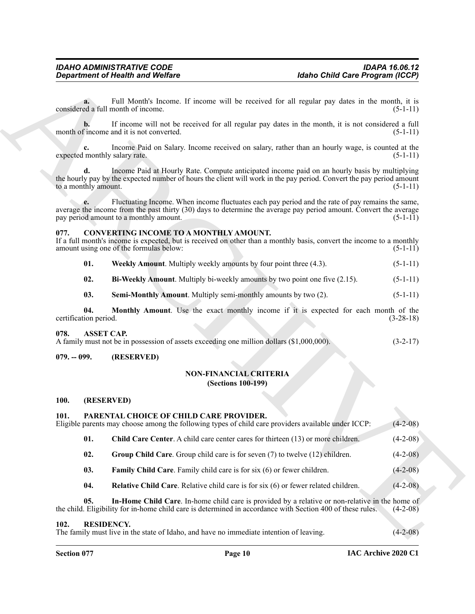#### <span id="page-9-12"></span><span id="page-9-9"></span><span id="page-9-8"></span><span id="page-9-0"></span>**077. CONVERTING INCOME TO A MONTHLY AMOUNT.**

#### <span id="page-9-11"></span><span id="page-9-10"></span><span id="page-9-7"></span><span id="page-9-1"></span>**078. ASSET CAP.**

#### <span id="page-9-3"></span><span id="page-9-2"></span>**079. -- 099. (RESERVED)**

#### <span id="page-9-13"></span>**NON-FINANCIAL CRITERIA (Sections 100-199)**

#### <span id="page-9-4"></span>**100. (RESERVED)**

#### <span id="page-9-20"></span><span id="page-9-19"></span><span id="page-9-18"></span><span id="page-9-17"></span><span id="page-9-16"></span><span id="page-9-15"></span><span id="page-9-14"></span><span id="page-9-6"></span><span id="page-9-5"></span>**101. PARENTAL CHOICE OF CHILD CARE PROVIDER.**

|                              | <b>Department of Health and Welfare</b>                                                                                                                                                                                                                         | <b>Idaho Child Care Program (ICCP)</b> |             |  |
|------------------------------|-----------------------------------------------------------------------------------------------------------------------------------------------------------------------------------------------------------------------------------------------------------------|----------------------------------------|-------------|--|
| a.                           | Full Month's Income. If income will be received for all regular pay dates in the month, it is<br>considered a full month of income.                                                                                                                             |                                        | $(5-1-11)$  |  |
| b.                           | If income will not be received for all regular pay dates in the month, it is not considered a full<br>month of income and it is not converted.                                                                                                                  |                                        | $(5-1-11)$  |  |
|                              | Income Paid on Salary. Income received on salary, rather than an hourly wage, is counted at the<br>expected monthly salary rate.                                                                                                                                |                                        | $(5-1-11)$  |  |
| to a monthly amount.         | Income Paid at Hourly Rate. Compute anticipated income paid on an hourly basis by multiplying<br>the hourly pay by the expected number of hours the client will work in the pay period. Convert the pay period amount                                           |                                        | $(5-1-11)$  |  |
|                              | Fluctuating Income. When income fluctuates each pay period and the rate of pay remains the same,<br>average the income from the past thirty (30) days to determine the average pay period amount. Convert the average<br>pay period amount to a monthly amount. |                                        | $(5-1-11)$  |  |
| 077.                         | <b>CONVERTING INCOME TO A MONTHLY AMOUNT.</b><br>If a full month's income is expected, but is received on other than a monthly basis, convert the income to a monthly<br>amount using one of the formulas below:                                                |                                        | $(5-1-11)$  |  |
| 01.                          | Weekly Amount. Multiply weekly amounts by four point three (4.3).                                                                                                                                                                                               |                                        | $(5-1-11)$  |  |
| 02.                          | Bi-Weekly Amount. Multiply bi-weekly amounts by two point one five (2.15).                                                                                                                                                                                      |                                        | $(5-1-11)$  |  |
| 03.                          | <b>Semi-Monthly Amount.</b> Multiply semi-monthly amounts by two (2).                                                                                                                                                                                           |                                        | $(5-1-11)$  |  |
| 04.<br>certification period. | Monthly Amount. Use the exact monthly income if it is expected for each month of the                                                                                                                                                                            |                                        | $(3-28-18)$ |  |
| 078.                         | <b>ASSET CAP.</b><br>A family must not be in possession of assets exceeding one million dollars (\$1,000,000).                                                                                                                                                  |                                        | $(3-2-17)$  |  |
| $079. - 099.$                | (RESERVED)                                                                                                                                                                                                                                                      |                                        |             |  |
|                              | <b>NON-FINANCIAL CRITERIA</b><br><b>(Sections 100-199)</b>                                                                                                                                                                                                      |                                        |             |  |
| 100.                         | (RESERVED)                                                                                                                                                                                                                                                      |                                        |             |  |
| 101.                         | PARENTAL CHOICE OF CHILD CARE PROVIDER.<br>Eligible parents may choose among the following types of child care providers available under ICCP:                                                                                                                  |                                        | $(4-2-08)$  |  |
| 01.                          | Child Care Center. A child care center cares for thirteen (13) or more children.                                                                                                                                                                                |                                        | $(4-2-08)$  |  |
| 02.                          | Group Child Care. Group child care is for seven (7) to twelve (12) children.                                                                                                                                                                                    |                                        | $(4-2-08)$  |  |
| 03.                          | Family Child Care. Family child care is for six (6) or fewer children.                                                                                                                                                                                          |                                        | $(4-2-08)$  |  |
| 04.                          | <b>Relative Child Care.</b> Relative child care is for six (6) or fewer related children.                                                                                                                                                                       |                                        | $(4-2-08)$  |  |
| 05.                          | In-Home Child Care. In-home child care is provided by a relative or non-relative in the home of<br>the child. Eligibility for in-home child care is determined in accordance with Section 400 of these rules.                                                   |                                        | $(4-2-08)$  |  |
| 102.                         | <b>RESIDENCY.</b><br>The family must live in the state of Idaho, and have no immediate intention of leaving.                                                                                                                                                    |                                        | $(4-2-08)$  |  |
|                              |                                                                                                                                                                                                                                                                 |                                        |             |  |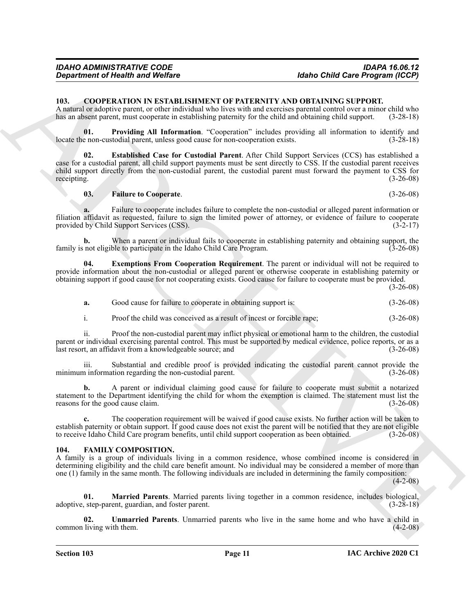#### <span id="page-10-2"></span><span id="page-10-0"></span>**103. COOPERATION IN ESTABLISHMENT OF PATERNITY AND OBTAINING SUPPORT.**

A natural or adoptive parent, or other individual who lives with and exercises parental control over a minor child who has an absent parent, must cooperate in establishing paternity for the child and obtaining child support. (3-28-18)

<span id="page-10-6"></span>**01. Providing All Information**. "Cooperation" includes providing all information to identify and e non-custodial parent, unless good cause for non-cooperation exists. (3-28-18) locate the non-custodial parent, unless good cause for non-cooperation exists.

Geographical de Neumann Moleho Child Care Fragment (CCP)<br>
10. CoOPERATIVENT OF PATERNITY OF TATERNITY OF TATE CAR (10) CONTERN (20) COOPERATIVENT AND COOPERATIVE SUPPORT COOPERATIVES SUPPORT COOPERATIVES SUPPORT COOPERATI **02. Established Case for Custodial Parent**. After Child Support Services (CCS) has established a case for a custodial parent, all child support payments must be sent directly to CSS. If the custodial parent receives child support directly from the non-custodial parent, the custodial parent must forward the payment to CSS for receipting. (3-26-08)

#### <span id="page-10-5"></span><span id="page-10-3"></span>**03. Failure to Cooperate**. (3-26-08)

**a.** Failure to cooperate includes failure to complete the non-custodial or alleged parent information or filiation affidavit as requested, failure to sign the limited power of attorney, or evidence of failure to cooperate provided by Child Support Services (CSS). (3-2-17)

**b.** When a parent or individual fails to cooperate in establishing paternity and obtaining support, the family is not eligible to participate in the Idaho Child Care Program. (3-26-08)

**04. Exemptions From Cooperation Requirement**. The parent or individual will not be required to provide information about the non-custodial or alleged parent or otherwise cooperate in establishing paternity or obtaining support if good cause for not cooperating exists. Good cause for failure to cooperate must be provided.

(3-26-08)

- <span id="page-10-4"></span>**a.** Good cause for failure to cooperate in obtaining support is: (3-26-08)
- i. Proof the child was conceived as a result of incest or forcible rape; (3-26-08)

ii. Proof the non-custodial parent may inflict physical or emotional harm to the children, the custodial parent or individual exercising parental control. This must be supported by medical evidence, police reports, or as a last resort, an affidavit from a knowledgeable source; and (3-26-08)

iii. Substantial and credible proof is provided indicating the custodial parent cannot provide the minimum information regarding the non-custodial parent.

**b.** A parent or individual claiming good cause for failure to cooperate must submit a notarized statement to the Department identifying the child for whom the exemption is claimed. The statement must list the reasons for the good cause claim. (3-26-08)

**c.** The cooperation requirement will be waived if good cause exists. No further action will be taken to establish paternity or obtain support. If good cause does not exist the parent will be notified that they are not eligible to receive Idaho Child Care program benefits, until child support cooperation as been obtained. (3-26-08)

#### <span id="page-10-7"></span><span id="page-10-1"></span>**104. FAMILY COMPOSITION.**

A family is a group of individuals living in a common residence, whose combined income is considered in determining eligibility and the child care benefit amount. No individual may be considered a member of more than one (1) family in the same month. The following individuals are included in determining the family composition:

 $(4-2-08)$ 

<span id="page-10-8"></span>**01. Married Parents**. Married parents living together in a common residence, includes biological, adoptive, step-parent, guardian, and foster parent. (3-28-18)

<span id="page-10-9"></span>**02. Unmarried Parents**. Unmarried parents who live in the same home and who have a child in common living with them. (4-2-08)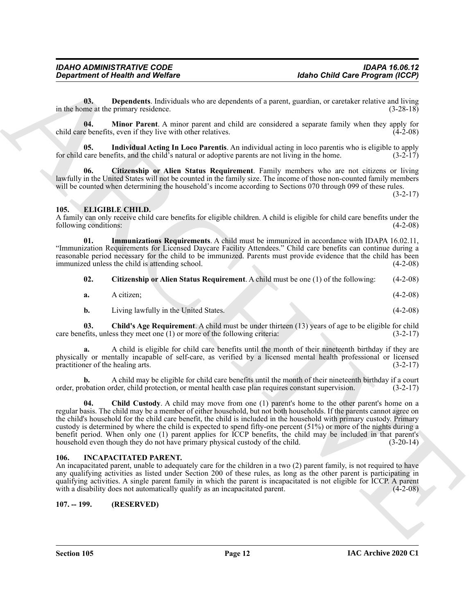<span id="page-11-9"></span>**03. Dependents**. Individuals who are dependents of a parent, guardian, or caretaker relative and living in the home at the primary residence. (3-28-18)

<span id="page-11-11"></span>**04. Minor Parent**. A minor parent and child are considered a separate family when they apply for child care benefits, even if they live with other relatives. (4-2-08)

<span id="page-11-10"></span>**05. Individual Acting In Loco Parentis**. An individual acting in loco parentis who is eligible to apply for child care benefits, and the child's natural or adoptive parents are not living in the home. (3-2-17)

<span id="page-11-8"></span>**06. Citizenship or Alien Status Requirement**. Family members who are not citizens or living lawfully in the United States will not be counted in the family size. The income of those non-counted family members will be counted when determining the household's income according to Sections 070 through 099 of these rules.

 $(3-2-17)$ 

#### <span id="page-11-3"></span><span id="page-11-0"></span>**105. ELIGIBLE CHILD.**

A family can only receive child care benefits for eligible children. A child is eligible for child care benefits under the following conditions: (4-2-08)

**01. Immunizations Requirements**. A child must be immunized in accordance with IDAPA 16.02.11, "Immunization Requirements for Licensed Daycare Facility Attendees." Child care benefits can continue during a reasonable period necessary for the child to be immunized. Parents must provide evidence that the child has been<br>immunized unless the child is attending school. (4-2-08) immunized unless the child is attending school.

<span id="page-11-7"></span><span id="page-11-6"></span>

| 02. |  |  |  | Citizenship or Alien Status Requirement. A child must be one (1) of the following: | $(4-2-08)$ |
|-----|--|--|--|------------------------------------------------------------------------------------|------------|
|-----|--|--|--|------------------------------------------------------------------------------------|------------|

| a. | A citizen: |  |  | $(4-2-08)$ |
|----|------------|--|--|------------|
|    |            |  |  |            |

<span id="page-11-5"></span>**b.** Living lawfully in the United States. (4-2-08)

**03. Child's Age Requirement**. A child must be under thirteen (13) years of age to be eligible for child care benefits, unless they meet one (1) or more of the following criteria: (3-2-17)

**a.** A child is eligible for child care benefits until the month of their nineteenth birthday if they are physically or mentally incapable of self-care, as verified by a licensed mental health professional or licensed practitioner of the healing arts. (3-2-17)

<span id="page-11-4"></span>**b.** A child may be eligible for child care benefits until the month of their nineteenth birthday if a court order, probation order, child protection, or mental health case plan requires constant supervision. (3-2-17)

*General means of Health wast Welfare*<br> **Alsho Child Care Proposition**<br> **ARCHIVE CONDITION**<br> **ARCHIVE CONDITION**<br> **ARCHIVE CONDITION**<br> **ARCHIVE CONDITION**<br> **ARCHIP CONDITION**<br> **ARCHIP CONDITION**<br> **ARCHIP CONDITION**<br> **AR 04. Child Custody**. A child may move from one (1) parent's home to the other parent's home on a regular basis. The child may be a member of either household, but not both households. If the parents cannot agree on the child's household for the child care benefit, the child is included in the household with primary custody. Primary custody is determined by where the child is expected to spend fifty-one percent (51%) or more of the nights during a benefit period. When only one (1) parent applies for ICCP benefits, the child may be included in that parent's household even though they do not have primary physical custody of the child.

#### <span id="page-11-12"></span><span id="page-11-1"></span>**106. INCAPACITATED PARENT.**

An incapacitated parent, unable to adequately care for the children in a two (2) parent family, is not required to have any qualifying activities as listed under Section 200 of these rules, as long as the other parent is participating in qualifying activities. A single parent family in which the parent is incapacitated is not eligible for ICCP. A parent with a disability does not automatically qualify as an incapacitated parent. (4-2-08)

#### <span id="page-11-2"></span>**107. -- 199. (RESERVED)**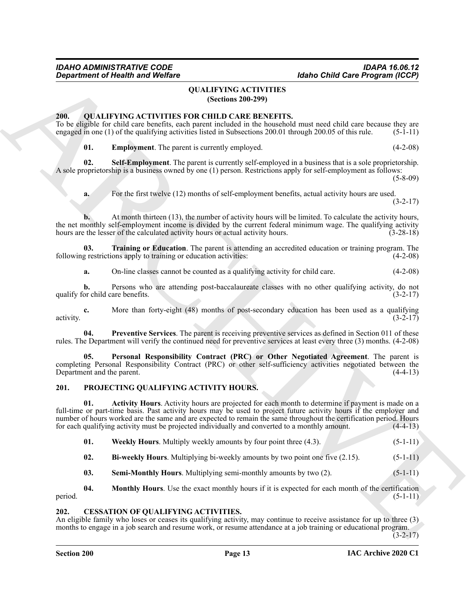#### <span id="page-12-6"></span>**QUALIFYING ACTIVITIES (Sections 200-299)**

#### <span id="page-12-7"></span><span id="page-12-1"></span><span id="page-12-0"></span>**200. OUALIFYING ACTIVITIES FOR CHILD CARE BENEFITS.**

To be eligible for child care benefits, each parent included in the household must need child care because they are engaged in one (1) of the qualifying activities listed in Subsections 200.01 through 200.05 of this rule. engaged in one  $(1)$  of the qualifying activities listed in Subsections 200.01 through 200.05 of this rule.

<span id="page-12-11"></span><span id="page-12-8"></span>**01. Employment**. The parent is currently employed. (4-2-08)

**02. Self-Employment**. The parent is currently self-employed in a business that is a sole proprietorship. A sole proprietorship is a business owned by one (1) person. Restrictions apply for self-employment as follows:

(5-8-09)

**a.** For the first twelve (12) months of self-employment benefits, actual activity hours are used. (3-2-17)

**b.** At month thirteen (13), the number of activity hours will be limited. To calculate the activity hours, the net monthly self-employment income is divided by the current federal minimum wage. The qualifying activity hours are the lesser of the calculated activity hours or actual activity hours. (3-28-18)

**03. Training or Education**. The parent is attending an accredited education or training program. The following restrictions apply to training or education activities: (4-2-08)

<span id="page-12-12"></span>**a.** On-line classes cannot be counted as a qualifying activity for child care.  $(4-2-08)$ 

**b.** Persons who are attending post-baccalaureate classes with no other qualifying activity, do not qualify for child care benefits.  $(3-2-17)$ 

**c.** More than forty-eight (48) months of post-secondary education has been used as a qualifying activity.  $(3-2-17)$ 

<span id="page-12-10"></span>**04. Preventive Services**. The parent is receiving preventive services as defined in Section 011 of these rules. The Department will verify the continued need for preventive services at least every three (3) months. (4-2-08)

<span id="page-12-9"></span>**05. Personal Responsibility Contract (PRC) or Other Negotiated Agreement**. The parent is completing Personal Responsibility Contract (PRC) or other self-sufficiency activities negotiated between the Department and the parent. (4-4-13)

#### <span id="page-12-5"></span><span id="page-12-2"></span>**201. PROJECTING QUALIFYING ACTIVITY HOURS.**

**Exparament of Nearth wave WebEns (Section 2008)**<br>
ARCHIVITES<br>
The GRAHEM VICE CETVITES (OCCULTIVING ACTIVITES)<br>
THE GRAHEM VICE CETVITES SONCCULTIES (OCCULTIVING ACTIVITES)<br>
The signal distribution is a matter of the sig **01. Activity Hours**. Activity hours are projected for each month to determine if payment is made on a full-time or part-time basis. Past activity hours may be used to project future activity hours if the employer and number of hours worked are the same and are expected to remain the same throughout the certification period. Hours for each qualifying activity must be projected individually and converted to a monthly amount. (4-4-13)

**01.** Weekly Hours. Multiply weekly amounts by four point three (4.3). (5-1-11)

- **02. Bi-weekly Hours**. Multiplying bi-weekly amounts by two point one five (2.15). (5-1-11)
- **03.** Semi-Monthly Hours. Multiplying semi-monthly amounts by two (2). (5-1-11)

**04. Monthly Hours**. Use the exact monthly hours if it is expected for each month of the certification period.  $(5-1-11)$ 

#### <span id="page-12-4"></span><span id="page-12-3"></span>**202. CESSATION OF QUALIFYING ACTIVITIES.**

An eligible family who loses or ceases its qualifying activity, may continue to receive assistance for up to three (3) months to engage in a job search and resume work, or resume attendance at a job training or educational program.  $(3-2-17)$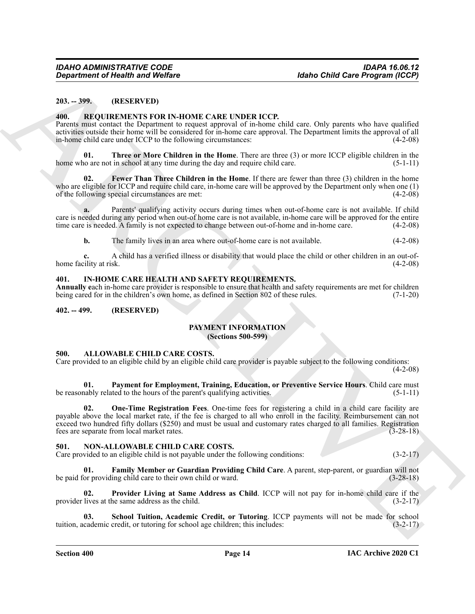#### <span id="page-13-0"></span>**203. -- 399. (RESERVED)**

#### <span id="page-13-15"></span><span id="page-13-1"></span>**400. REQUIREMENTS FOR IN-HOME CARE UNDER ICCP.**

Parents must contact the Department to request approval of in-home child care. Only parents who have qualified activities outside their home will be considered for in-home care approval. The Department limits the approval of all in-home child care under ICCP to the following circumstances:

<span id="page-13-17"></span>**01. Three or More Children in the Home**. There are three (3) or more ICCP eligible children in the home who are not in school at any time during the day and require child care.  $(5-1-11)$ 

<span id="page-13-16"></span>**Fewer Than Three Children in the Home**. If there are fewer than three (3) children in the home who are eligible for ICCP and require child care, in-home care will be approved by the Department only when one (1) of the following special circumstances are met: (4-2-08)

**a.** Parents' qualifying activity occurs during times when out-of-home care is not available. If child care is needed during any period when out-of home care is not available, in-home care will be approved for the entire time care is needed. A family is not expected to change between out-of-home and in-home care. (4-2-08)

**b.** The family lives in an area where out-of-home care is not available. (4-2-08)

**c.** A child has a verified illness or disability that would place the child or other children in an out-of-<br>
(4-2-08) home facility at risk.

#### <span id="page-13-2"></span>**401. IN-HOME CARE HEALTH AND SAFETY REQUIREMENTS.**

**Annually e**ach in-home care provider is responsible to ensure that health and safety requirements are met for children being cared for in the children's own home, as defined in Section 802 of these rules. (7-1-20)

#### <span id="page-13-4"></span><span id="page-13-3"></span>**402. -- 499. (RESERVED)**

#### <span id="page-13-14"></span>**PAYMENT INFORMATION**

**(Sections 500-599)**

#### <span id="page-13-7"></span><span id="page-13-5"></span>**500. ALLOWABLE CHILD CARE COSTS.**

Care provided to an eligible child by an eligible child care provider is payable subject to the following conditions:

 $(4-2-08)$ 

<span id="page-13-9"></span><span id="page-13-8"></span>**01. Payment for Employment, Training, Education, or Preventive Service Hours**. Child care must be reasonably related to the hours of the parent's qualifying activities. (5-1-11)

*Great from the GERENOVIDE CARE UNDER (CCP***) and the one of the Control of the CP (EXECUT)<br>
ARCHIVENESS FOR UNIT CARE UNDER (CCP) and the control of the CP (EXEC) and the control of the CP (EXEC) and the CP (EXEC) and t 02. One-Time Registration Fees**. One-time fees for registering a child in a child care facility are payable above the local market rate, if the fee is charged to all who enroll in the facility. Reimbursement can not exceed two hundred fifty dollars (\$250) and must be usual and customary rates charged to all families. Registration fees are separate from local market rates. (3-28-18)

#### <span id="page-13-10"></span><span id="page-13-6"></span>**501. NON-ALLOWABLE CHILD CARE COSTS.**

Care provided to an eligible child is not payable under the following conditions: (3-2-17)

<span id="page-13-11"></span>**Family Member or Guardian Providing Child Care**. A parent, step-parent, or guardian will not ing child care to their own child or ward. (3-28-18) be paid for providing child care to their own child or ward.

<span id="page-13-12"></span>**02. Provider Living at Same Address as Child**. ICCP will not pay for in-home child care if the provider lives at the same address as the child. (3-2-17)

<span id="page-13-13"></span>**03.** School Tuition, Academic Credit, or Tutoring. ICCP payments will not be made for school cademic credit, or tutoring for school age children; this includes: (3-2-17) tuition, academic credit, or tutoring for school age children; this includes: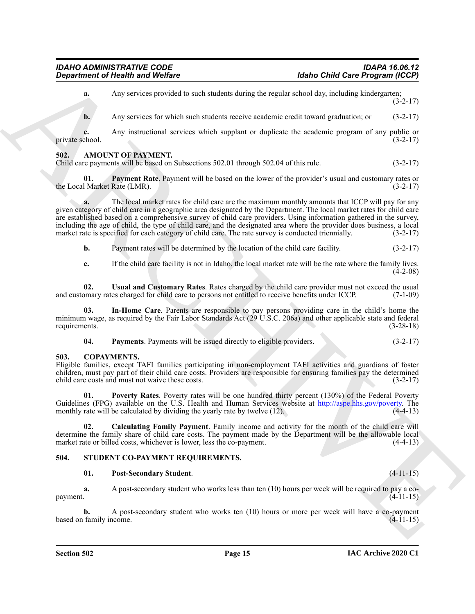ARCH[IV](http://aspe.hhs.gov/poverty)E **a.** Any services provided to such students during the regular school day, including kindergarten; (3-2-17) **b.** Any services for which such students receive academic credit toward graduation; or (3-2-17) **c.** Any instructional services which supplant or duplicate the academic program of any public or chool. (3-2-17) private school. **502. AMOUNT OF PAYMENT.** Child care payments will be based on Subsections 502.01 through 502.04 of this rule. (3-2-17)

<span id="page-14-5"></span><span id="page-14-3"></span><span id="page-14-0"></span>**01. Payment Rate**. Payment will be based on the lower of the provider's usual and customary rates or the Local Market Rate (LMR).

**a.** The local market rates for child care are the maximum monthly amounts that ICCP will pay for any given category of child care in a geographic area designated by the Department. The local market rates for child care are established based on a comprehensive survey of child care providers. Using information gathered in the survey, including the age of child, the type of child care, and the designated area where the provider does business, a local market rate is specified for each category of child care. The rate survey is conducted triennially. (3-2-17)

**b.** Payment rates will be determined by the location of the child care facility. (3-2-17)

<span id="page-14-7"></span>**c.** If the child care facility is not in Idaho, the local market rate will be the rate where the family lives.  $(4-2-08)$ 

**02. Usual and Customary Rates**. Rates charged by the child care provider must not exceed the usual and customary rates charged for child care to persons not entitled to receive benefits under ICCP. (7-1-09)

**03. In-Home Care**. Parents are responsible to pay persons providing care in the child's home the minimum wage, as required by the Fair Labor Standards Act (29 U.S.C. 206a) and other applicable state and federal requirements. (3-28-18) requirements. (3-28-18)

<span id="page-14-8"></span><span id="page-14-6"></span><span id="page-14-4"></span>**04. Payments**. Payments will be issued directly to eligible providers. (3-2-17)

#### <span id="page-14-1"></span>**503. COPAYMENTS.**

Eligible families, except TAFI families participating in non-employment TAFI activities and guardians of foster children, must pay part of their child care costs. Providers are responsible for ensuring families pay the determined child care costs and must not waive these costs. (3-2-17)

<span id="page-14-10"></span>**01. Poverty Rates**. Poverty rates will be one hundred thirty percent (130%) of the Federal Poverty Guidelines (FPG) available on the U.S. Health and Human Services website at http://aspe.hhs.gov/poverty. The monthly rate will be calculated by dividing the yearly rate by twelve (12). (4-4-13)

<span id="page-14-9"></span>**02. Calculating Family Payment**. Family income and activity for the month of the child care will determine the family share of child care costs. The payment made by the Department will be the allowable local market rate or billed costs, whichever is lower, less the co-payment. (4-4-13) market rate or billed costs, whichever is lower, less the co-payment.

#### <span id="page-14-2"></span>**504. STUDENT CO-PAYMENT REQUIREMENTS.**

#### <span id="page-14-12"></span><span id="page-14-11"></span>**01. Post-Secondary Student**. (4-11-15)

**a.** A post-secondary student who works less than ten (10) hours per week will be required to pay a co $p$ ayment.  $(4-11-15)$ 

**b.** A post-secondary student who works ten (10) hours or more per week will have a co-payment family income. (4-11-15) based on family income.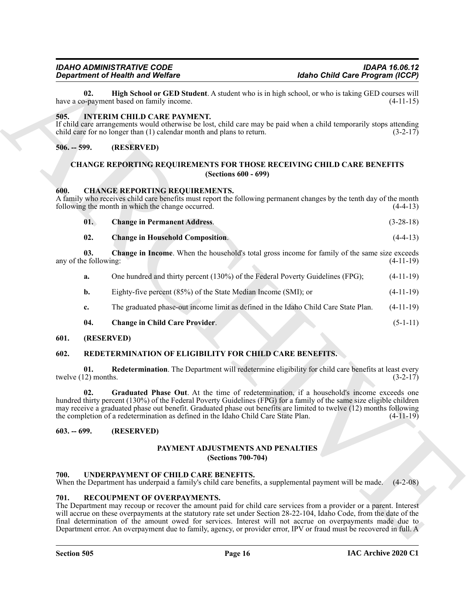#### **Section 505 Page 16**

#### **IAC Archive 2020 C1**

<span id="page-15-22"></span>**02. High School or GED Student**. A student who is in high school, or who is taking GED courses will have a co-payment based on family income.

#### <span id="page-15-16"></span><span id="page-15-0"></span>**505. INTERIM CHILD CARE PAYMENT.**

If child care arrangements would otherwise be lost, child care may be paid when a child temporarily stops attending child care for no longer than (1) calendar month and plans to return. (3-2-17)

#### <span id="page-15-1"></span>**506. -- 599. (RESERVED)**

#### <span id="page-15-15"></span><span id="page-15-10"></span><span id="page-15-2"></span>**CHANGE REPORTING REQUIREMENTS FOR THOSE RECEIVING CHILD CARE BENEFITS (Sections 600 - 699)**

#### <span id="page-15-3"></span>**600. CHANGE REPORTING REQUIREMENTS.**

A family who receives child care benefits must report the following permanent changes by the tenth day of the month following the month in which the change occurred. (4-4-13)

<span id="page-15-14"></span><span id="page-15-13"></span><span id="page-15-12"></span>

| 01. | <b>Change in Permanent Address.</b>     | $(3-28-18)$ |
|-----|-----------------------------------------|-------------|
| 02. | <b>Change in Household Composition.</b> | $(4-4-13)$  |

**03. Change in Income**. When the household's total gross income for family of the same size exceeds any of the following: (4-11-19)

| а. | One hundred and thirty percent (130%) of the Federal Poverty Guidelines (FPG); | $(4-11-19)$ |
|----|--------------------------------------------------------------------------------|-------------|
|    | Eighty-five percent (85%) of the State Median Income (SMI); or                 | $(4-11-19)$ |

**c.** The graduated phase-out income limit as defined in the Idaho Child Care State Plan. (4-11-19)

#### <span id="page-15-21"></span><span id="page-15-19"></span><span id="page-15-11"></span>**04. Change in Child Care Provider**. (5-1-11)

#### <span id="page-15-4"></span>**601. (RESERVED)**

#### <span id="page-15-5"></span>**602. REDETERMINATION OF ELIGIBILITY FOR CHILD CARE BENEFITS.**

<span id="page-15-20"></span>**01.** Redetermination. The Department will redetermine eligibility for child care benefits at least every (2) months. twelve  $(12)$  months.

**Experimental Foundation**<br> **Experimental Foundation**<br>
ARCHIVENGENT (Solid Dave Experimental Solid Dave Experimental Solid Dave Experimental Solid Control and Solid Control and Solid Control and Solid Control and Solid Con **02. Graduated Phase Out**. At the time of redetermination, if a household's income exceeds one hundred thirty percent (130%) of the Federal Poverty Guidelines (FPG) for a family of the same size eligible children may receive a graduated phase out benefit. Graduated phase out benefits are limited to twelve (12) months following the completion of a redetermination as defined in the Idaho Child Care State Plan. (4-11-19)

#### <span id="page-15-7"></span><span id="page-15-6"></span>**603. -- 699. (RESERVED)**

#### <span id="page-15-17"></span>**PAYMENT ADJUSTMENTS AND PENALTIES (Sections 700-704)**

#### <span id="page-15-23"></span><span id="page-15-8"></span>**700. UNDERPAYMENT OF CHILD CARE BENEFITS.**

When the Department has underpaid a family's child care benefits, a supplemental payment will be made. (4-2-08)

#### <span id="page-15-18"></span><span id="page-15-9"></span>**701. RECOUPMENT OF OVERPAYMENTS.**

The Department may recoup or recover the amount paid for child care services from a provider or a parent. Interest will accrue on these overpayments at the statutory rate set under Section 28-22-104, Idaho Code, from the date of the final determination of the amount owed for services. Interest will not accrue on overpayments made due to Department error. An overpayment due to family, agency, or provider error, IPV or fraud must be recovered in full. A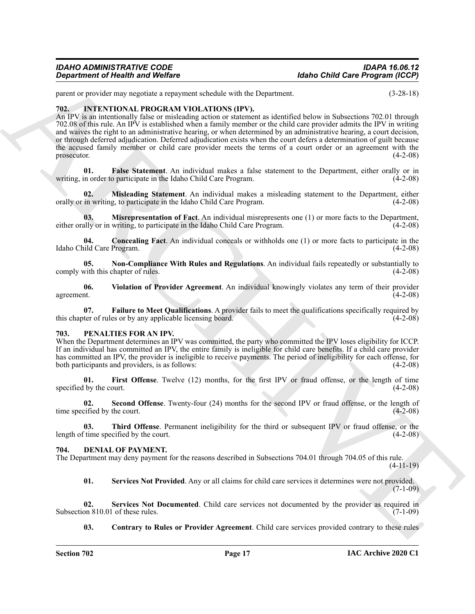parent or provider may negotiate a repayment schedule with the Department. (3-28-18)

#### <span id="page-16-7"></span><span id="page-16-0"></span>**702. INTENTIONAL PROGRAM VIOLATIONS (IPV).**

Generation of Nearly and Wolfing<br>
you at proposition of Nearly and Wolfing<br>
you at proposition of Nearly and Wolfing the Summarization of Nearly Books in the Summarization (5.24-1)<br>
The Consensus matrix and the Consensus An IPV is an intentionally false or misleading action or statement as identified below in Subsections 702.01 through 702.08 of this rule. An IPV is established when a family member or the child care provider admits the IPV in writing and waives the right to an administrative hearing, or when determined by an administrative hearing, a court decision, or through deferred adjudication. Deferred adjudication exists when the court defers a determination of guilt because the accused family member or child care provider meets the terms of a court order or an agreement with the prosecutor.  $(4-2-08)$ 

<span id="page-16-10"></span>**01. False Statement**. An individual makes a false statement to the Department, either orally or in writing, in order to participate in the Idaho Child Care Program. (4-2-08)

<span id="page-16-11"></span>**02. Misleading Statement**. An individual makes a misleading statement to the Department, either orally or in writing, to participate in the Idaho Child Care Program. (4-2-08)

<span id="page-16-12"></span>**03. Misrepresentation of Fact**. An individual misrepresents one (1) or more facts to the Department, either orally or in writing, to participate in the Idaho Child Care Program. (4-2-08)

<span id="page-16-8"></span>**04. Concealing Fact**. An individual conceals or withholds one (1) or more facts to participate in the Idaho Child Care Program. (4-2-08)

<span id="page-16-13"></span>**05. Non-Compliance With Rules and Regulations**. An individual fails repeatedly or substantially to comply with this chapter of rules. (4-2-08)

<span id="page-16-14"></span>**06. Violation of Provider Agreement**. An individual knowingly violates any term of their provider agreement. (4-2-08)

<span id="page-16-9"></span>**07. Failure to Meet Qualifications**. A provider fails to meet the qualifications specifically required by this chapter of rules or by any applicable licensing board. (4-2-08)

#### <span id="page-16-15"></span><span id="page-16-1"></span>**703. PENALTIES FOR AN IPV.**

When the Department determines an IPV was committed, the party who committed the IPV loses eligibility for ICCP. If an individual has committed an IPV, the entire family is ineligible for child care benefits. If a child care provider has committed an IPV, the provider is ineligible to receive payments. The period of ineligibility for each offense, for both participants and providers, is as follows: (4-2-08)

<span id="page-16-16"></span>**01. First Offense**. Twelve (12) months, for the first IPV or fraud offense, or the length of time specified by the court.  $(4-2-08)$ 

<span id="page-16-17"></span>**02. Second Offense**. Twenty-four (24) months for the second IPV or fraud offense, or the length of time specified by the court. (4-2-08)

<span id="page-16-18"></span>**03. Third Offense**. Permanent ineligibility for the third or subsequent IPV or fraud offense, or the length of time specified by the court. (4-2-08)

#### <span id="page-16-3"></span><span id="page-16-2"></span>**704. DENIAL OF PAYMENT.**

The Department may deny payment for the reasons described in Subsections 704.01 through 704.05 of this rule.  $(4-11-19)$ 

<span id="page-16-6"></span><span id="page-16-5"></span>**01. Services Not Provided**. Any or all claims for child care services it determines were not provided.  $(7-1-09)$ 

**02.** Services Not Documented. Child care services not documented by the provider as required in on 810.01 of these rules. (7-1-09) Subsection 810.01 of these rules.

<span id="page-16-4"></span>**03.** Contrary to Rules or Provider Agreement. Child care services provided contrary to these rules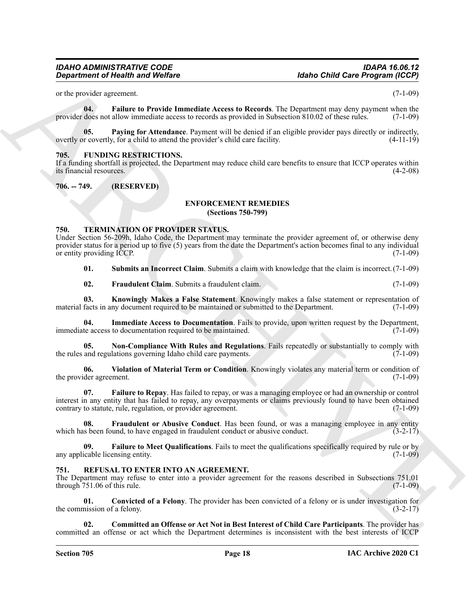<span id="page-17-5"></span>or the provider agreement. (7-1-09)

**04. Failure to Provide Immediate Access to Records**. The Department may deny payment when the provider does not allow immediate access to records as provided in Subsection 810.02 of these rules. (7-1-09)

<span id="page-17-6"></span>**05. Paying for Attendance**. Payment will be denied if an eligible provider pays directly or indirectly, for a child to attend the provider's child care facility. (4-11-19) overtly or covertly, for a child to attend the provider's child care facility.

#### <span id="page-17-9"></span><span id="page-17-0"></span>**705. FUNDING RESTRICTIONS.**

If a funding shortfall is projected, the Department may reduce child care benefits to ensure that ICCP operates within its financial resources.

<span id="page-17-2"></span><span id="page-17-1"></span>**706. -- 749. (RESERVED)**

#### <span id="page-17-7"></span>**ENFORCEMENT REMEDIES**

**(Sections 750-799)**

#### <span id="page-17-13"></span><span id="page-17-3"></span>**750. TERMINATION OF PROVIDER STATUS.**

**Equivariant of Nearlth was Wedlere**<br>
all the probability consists and the continue of the continue of the continue of the continue of the continue of the continue of the continue of the continue of the continue of the co Under Section 56-209h, Idaho Code, the Department may terminate the provider agreement of, or otherwise deny provider status for a period up to five (5) years from the date the Department's action becomes final to any individual or entity providing ICCP. (7-1-09)

<span id="page-17-20"></span>**01. Submits an Incorrect Claim**. Submits a claim with knowledge that the claim is incorrect.(7-1-09)

<span id="page-17-18"></span><span id="page-17-17"></span><span id="page-17-8"></span>**02. Fraudulent Claim**. Submits a fraudulent claim. (7-1-09)

**03. Knowingly Makes a False Statement**. Knowingly makes a false statement or representation of facts in any document required to be maintained or submitted to the Department. (7-1-09) material facts in any document required to be maintained or submitted to the Department.

**04. Immediate Access to Documentation**. Fails to provide, upon written request by the Department, immediate access to documentation required to be maintained. (7-1-09)

<span id="page-17-19"></span>**05.** Non-Compliance With Rules and Regulations. Fails repeatedly or substantially to comply with and regulations governing Idaho child care payments. (7-1-09) the rules and regulations governing Idaho child care payments.

<span id="page-17-21"></span>**06. Violation of Material Term or Condition**. Knowingly violates any material term or condition of the provider agreement.

<span id="page-17-15"></span>**07. Failure to Repay**. Has failed to repay, or was a managing employee or had an ownership or control interest in any entity that has failed to repay, any overpayments or claims previously found to have been obtained contrary to statute, rule, regulation, or provider agreement.

<span id="page-17-16"></span>Fraudulent or Abusive Conduct. Has been found, or was a managing employee in any entity which has been found, to have engaged in fraudulent conduct or abusive conduct.  $(3-2-17)$ 

<span id="page-17-14"></span>**09. Failure to Meet Qualifications**. Fails to meet the qualifications specifically required by rule or by any applicable licensing entity. (7-1-09)

#### <span id="page-17-10"></span><span id="page-17-4"></span>**751. REFUSAL TO ENTER INTO AN AGREEMENT.**

The Department may refuse to enter into a provider agreement for the reasons described in Subsections 751.01 through  $751.06$  of this rule.  $(7-1-09)$ 

<span id="page-17-12"></span>**01. Convicted of a Felony**. The provider has been convicted of a felony or is under investigation for the commission of a felony.  $(3-2-17)$ 

<span id="page-17-11"></span>**02. Committed an Offense or Act Not in Best Interest of Child Care Participants**. The provider has committed an offense or act which the Department determines is inconsistent with the best interests of ICCP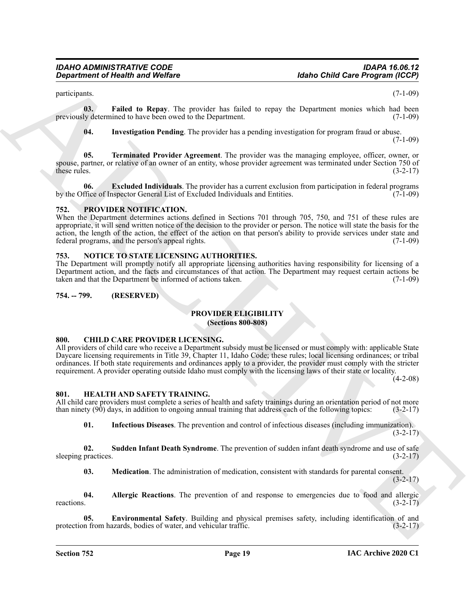participants. (7-1-09)

**03. Failed to Repay**. The provider has failed to repay the Department monies which had been previously determined to have been owed to the Department. (7-1-09)

<span id="page-18-19"></span><span id="page-18-18"></span><span id="page-18-17"></span><span id="page-18-16"></span>**04. Investigation Pending**. The provider has a pending investigation for program fraud or abuse.

 $(7-1-09)$ 

**05. Terminated Provider Agreement**. The provider was the managing employee, officer, owner, or spouse, partner, or relative of an owner of an entity, whose provider agreement was terminated under Section 750 of these rules. (3-2-17) these rules.  $(3-2-17)$ 

**06. Excluded Individuals**. The provider has a current exclusion from participation in federal programs by the Office of Inspector General List of Excluded Individuals and Entities. (7-1-09)

#### <span id="page-18-15"></span><span id="page-18-0"></span>**752. PROVIDER NOTIFICATION.**

**Equivariant of Health and Wolfare**<br> **Equivariant** Contribute the state is a state of the contribution of the state of the state of the state of the state of the state of the state of the state of the state of the state o When the Department determines actions defined in Sections 701 through 705, 750, and 751 of these rules are appropriate, it will send written notice of the decision to the provider or person. The notice will state the basis for the action, the length of the action, the effect of the action on that person's ability to provide services under state and federal programs, and the person's appeal rights. (7-1-09) federal programs, and the person's appeal rights.

#### <span id="page-18-13"></span><span id="page-18-1"></span>**753. NOTICE TO STATE LICENSING AUTHORITIES.**

The Department will promptly notify all appropriate licensing authorities having responsibility for licensing of a Department action, and the facts and circumstances of that action. The Department may request certain actions be taken and that the Department be informed of actions taken. (7-1-09)

#### <span id="page-18-3"></span><span id="page-18-2"></span>**754. -- 799. (RESERVED)**

#### <span id="page-18-14"></span>**PROVIDER ELIGIBILITY**

#### **(Sections 800-808)**

#### <span id="page-18-6"></span><span id="page-18-4"></span>**800. CHILD CARE PROVIDER LICENSING.**

All providers of child care who receive a Department subsidy must be licensed or must comply with: applicable State Daycare licensing requirements in Title 39, Chapter 11, Idaho Code; these rules; local licensing ordinances; or tribal ordinances. If both state requirements and ordinances apply to a provider, the provider must comply with the stricter requirement. A provider operating outside Idaho must comply with the licensing laws of their state or locality.

(4-2-08)

#### <span id="page-18-7"></span><span id="page-18-5"></span>**801. HEALTH AND SAFETY TRAINING.**

All child care providers must complete a series of health and safety trainings during an orientation period of not more than ninety (90) days, in addition to ongoing annual training that address each of the following topic than ninety  $(90)$  days, in addition to ongoing annual training that address each of the following topics:

<span id="page-18-12"></span><span id="page-18-10"></span>**01. Infectious Diseases**. The prevention and control of infectious diseases (including immunization).  $(3-2-17)$ 

**02.** Sudden Infant Death Syndrome. The prevention of sudden infant death syndrome and use of safe practices. (3-2-17) sleeping practices.

<span id="page-18-11"></span><span id="page-18-9"></span><span id="page-18-8"></span>**03. Medication**. The administration of medication, consistent with standards for parental consent.  $(3-2-17)$ 

**04. Allergic Reactions**. The prevention of and response to emergencies due to food and allergic reactions.  $(3-2-17)$ 

**05. Environmental Safety**. Building and physical premises safety, including identification of and protection from hazards, bodies of water, and vehicular traffic. (3-2-17)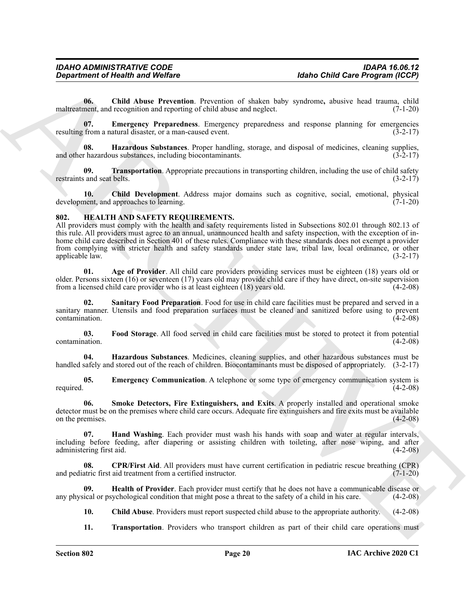<span id="page-19-13"></span>**06. Child Abuse Prevention**. Prevention of shaken baby syndrome**,** abusive head trauma, child maltreatment, and recognition and reporting of child abuse and neglect. (7-1-20)

<span id="page-19-14"></span>**07. Emergency Preparedness**. Emergency preparedness and response planning for emergencies resulting from a natural disaster, or a man-caused event. (3-2-17)

<span id="page-19-15"></span>**08. Hazardous Substances**. Proper handling, storage, and disposal of medicines, cleaning supplies, and other hazardous substances, including biocontaminants. (3-2-17)

<span id="page-19-16"></span>**09. Transportation**. Appropriate precautions in transporting children, including the use of child safety restraints and seat belts. (3-2-17)

**10. Child Development**. Address major domains such as cognitive, social, emotional, physical development, and approaches to learning. (7-1-20)

#### <span id="page-19-1"></span><span id="page-19-0"></span>**802. HEALTH AND SAFETY REQUIREMENTS.**

Gegardment of Health Anne Wedler<br>
164be Child Care Frequencies (62)<br>
166 (Child Care Frequencies (62)<br>
with a Child Care Frequencies (62)<br>
with a Child Care Frequencies (62)<br>
with a Child Care Frequencies (62)<br>
with a Tra All providers must comply with the health and safety requirements listed in Subsections 802.01 through 802.13 of this rule. All providers must agree to an annual, unannounced health and safety inspection, with the exception of inhome child care described in Section 401 of these rules. Compliance with these standards does not exempt a provider from complying with stricter health and safety standards under state law, tribal law, local ordinance, or other applicable law. (3-2-17)

<span id="page-19-2"></span>**01. Age of Provider**. All child care providers providing services must be eighteen (18) years old or older. Persons sixteen (16) or seventeen (17) years old may provide child care if they have direct, on-site supervision from a licensed child care provider who is at least eighteen  $(18)$  years old.  $(4-2-08)$ 

<span id="page-19-10"></span>**02. Sanitary Food Preparation**. Food for use in child care facilities must be prepared and served in a sanitary manner. Utensils and food preparation surfaces must be cleaned and sanitized before using to prevent contamination. (4-2-08)

<span id="page-19-6"></span>**03. Food Storage**. All food served in child care facilities must be stored to protect it from potential contamination. (4-2-08)

<span id="page-19-8"></span>**04. Hazardous Substances**. Medicines, cleaning supplies, and other hazardous substances must be handled safely and stored out of the reach of children. Biocontaminants must be disposed of appropriately. (3-2-17)

<span id="page-19-5"></span>**05. Emergency Communication**. A telephone or some type of emergency communication system is required. (4-2-08)

<span id="page-19-11"></span>**06. Smoke Detectors, Fire Extinguishers, and Exits**. A properly installed and operational smoke detector must be on the premises where child care occurs. Adequate fire extinguishers and fire exits must be available on the premises. (4-2-08)

<span id="page-19-7"></span>**07. Hand Washing**. Each provider must wash his hands with soap and water at regular intervals, including before feeding, after diapering or assisting children with toileting, after nose wiping, and after administering first aid. (4-2-08)

<span id="page-19-4"></span>**08.** CPR/First Aid. All providers must have current certification in pediatric rescue breathing (CPR) atric first aid treatment from a certified instructor. and pediatric first aid treatment from a certified instructor.

**09. Health of Provider**. Each provider must certify that he does not have a communicable disease or any physical or psychological condition that might pose a threat to the safety of a child in his care. (4-2-08)

<span id="page-19-9"></span><span id="page-19-3"></span>**10. Child Abuse**. Providers must report suspected child abuse to the appropriate authority. (4-2-08)

<span id="page-19-12"></span>**11. Transportation**. Providers who transport children as part of their child care operations must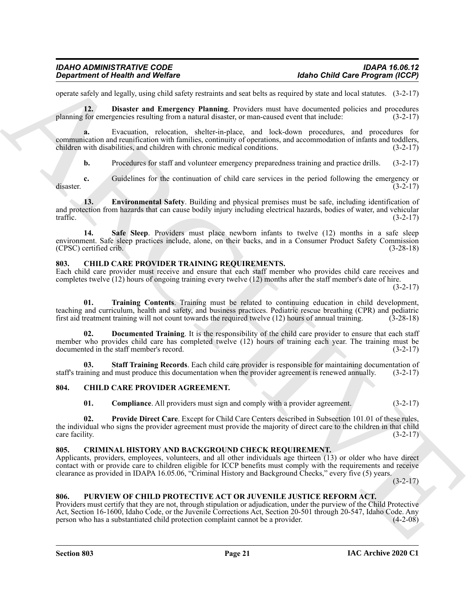operate safely and legally, using child safety restraints and seat belts as required by state and local statutes. (3-2-17)

<span id="page-20-11"></span>**12. Disaster and Emergency Planning**. Providers must have documented policies and procedures planning for emergencies resulting from a natural disaster, or man-caused event that include: (3-2-17)

**a.** Evacuation, relocation, shelter-in-place, and lock-down procedures, and procedures for communication and reunification with families, continuity of operations, and accommodation of infants and toddlers, children with disabilities, and children with chronic medical conditions. (3-2-17)

<span id="page-20-12"></span>**b.** Procedures for staff and volunteer emergency preparedness training and practice drills. (3-2-17)

**c.** Guidelines for the continuation of child care services in the period following the emergency or (3-2-17) disaster. (3-2-17)

**13. Environmental Safety**. Building and physical premises must be safe, including identification of and protection from hazards that can cause bodily injury including electrical hazards, bodies of water, and vehicular traffic. (3-2-17) traffic.  $(3-2-17)$ 

<span id="page-20-13"></span>**14. Safe Sleep**. Providers must place newborn infants to twelve (12) months in a safe sleep environment. Safe sleep practices include, alone, on their backs, and in a Consumer Product Safety Commission (CPSC) certified crib. (3-28-18)

#### <span id="page-20-7"></span><span id="page-20-0"></span>**803. CHILD CARE PROVIDER TRAINING REQUIREMENTS.**

Each child care provider must receive and ensure that each staff member who provides child care receives and completes twelve (12) hours of ongoing training every twelve (12) months after the staff member's date of hire.  $(3-2-17)$ 

<span id="page-20-10"></span>**01. Training Contents**. Training must be related to continuing education in child development, teaching and curriculum, health and safety, and business practices. Pediatric rescue breathing (CPR) and pediatric first aid treatment training will not count towards the required twelve (12) hours of annual training. (3-28-18)

<span id="page-20-8"></span>**02. Documented Training**. It is the responsibility of the child care provider to ensure that each staff member who provides child care has completed twelve (12) hours of training each year. The training must be documented in the staff member's record. (3-2-17) documented in the staff member's record.

**03. Staff Training Records**. Each child care provider is responsible for maintaining documentation of staff's training and must produce this documentation when the provider agreement is renewed annually. (3-2-17)

#### <span id="page-20-1"></span>**804. CHILD CARE PROVIDER AGREEMENT.**

<span id="page-20-9"></span><span id="page-20-6"></span><span id="page-20-5"></span><span id="page-20-4"></span>**01.** Compliance. All providers must sign and comply with a provider agreement. (3-2-17)

**02. Provide Direct Care**. Except for Child Care Centers described in Subsection 101.01 of these rules, the individual who signs the provider agreement must provide the majority of direct care to the children in that child<br>care facility. (3-2-17)  $\frac{1}{3-2-17}$  (3-2-17)

#### <span id="page-20-2"></span>**805. CRIMINAL HISTORY AND BACKGROUND CHECK REQUIREMENT.**

Applicants, providers, employees, volunteers, and all other individuals age thirteen (13) or older who have direct contact with or provide care to children eligible for ICCP benefits must comply with the requirements and receive clearance as provided in IDAPA 16.05.06, "Criminal History and Background Checks," every five (5) years.

 $(3-2-17)$ 

#### <span id="page-20-14"></span><span id="page-20-3"></span>**806. PURVIEW OF CHILD PROTECTIVE ACT OR JUVENILE JUSTICE REFORM ACT.**

**Equation of Nicoln was Welfare**<br>quantitative and the state interesting and extremely the state and state and state and state and state and state and state and the state of the state of the state of the state of the state Providers must certify that they are not, through stipulation or adjudication, under the purview of the Child Protective Act, Section 16-1600, Idaho Code, or the Juvenile Corrections Act, Section 20-501 through 20-547, Idaho Code. Any person who has a substantiated child protection complaint cannot be a provider. (4-2-08) person who has a substantiated child protection complaint cannot be a provider.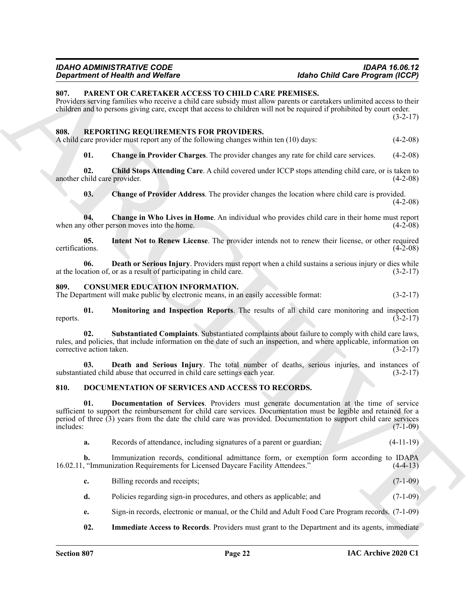### <span id="page-21-18"></span><span id="page-21-17"></span><span id="page-21-16"></span><span id="page-21-15"></span><span id="page-21-14"></span><span id="page-21-13"></span><span id="page-21-12"></span><span id="page-21-11"></span><span id="page-21-4"></span><span id="page-21-1"></span><span id="page-21-0"></span>*IDAHO ADMINISTRATIVE CODE IDAPA 16.06.12*

## *Department of Health and Welfare Idaho Child Care Program (ICCP)*

|                                     | <b>Idaho Child Care Program (ICCP)</b><br><b>Department of Health and Welfare</b>                                                                                                                                                                                                                                                   |  |             |
|-------------------------------------|-------------------------------------------------------------------------------------------------------------------------------------------------------------------------------------------------------------------------------------------------------------------------------------------------------------------------------------|--|-------------|
| 807.                                | PARENT OR CARETAKER ACCESS TO CHILD CARE PREMISES.<br>Providers serving families who receive a child care subsidy must allow parents or caretakers unlimited access to their<br>children and to persons giving care, except that access to children will not be required if prohibited by court order.                              |  | $(3-2-17)$  |
| 808.                                | REPORTING REQUIREMENTS FOR PROVIDERS.<br>A child care provider must report any of the following changes within ten (10) days:                                                                                                                                                                                                       |  | $(4-2-08)$  |
| 01.                                 | <b>Change in Provider Charges</b> . The provider changes any rate for child care services.                                                                                                                                                                                                                                          |  | $(4-2-08)$  |
| 02.<br>another child care provider. | Child Stops Attending Care. A child covered under ICCP stops attending child care, or is taken to                                                                                                                                                                                                                                   |  | $(4-2-08)$  |
| 03.                                 | Change of Provider Address. The provider changes the location where child care is provided.                                                                                                                                                                                                                                         |  | $(4-2-08)$  |
| 04.                                 | <b>Change in Who Lives in Home.</b> An individual who provides child care in their home must report<br>when any other person moves into the home.                                                                                                                                                                                   |  | $(4-2-08)$  |
| 05.<br>certifications.              | Intent Not to Renew License. The provider intends not to renew their license, or other required                                                                                                                                                                                                                                     |  | $(4-2-08)$  |
| 06.                                 | Death or Serious Injury. Providers must report when a child sustains a serious injury or dies while<br>at the location of, or as a result of participating in child care.                                                                                                                                                           |  | $(3-2-17)$  |
| 809.                                | <b>CONSUMER EDUCATION INFORMATION.</b><br>The Department will make public by electronic means, in an easily accessible format:                                                                                                                                                                                                      |  | $(3-2-17)$  |
| 01.<br>reports.                     | Monitoring and Inspection Reports. The results of all child care monitoring and inspection                                                                                                                                                                                                                                          |  | $(3-2-17)$  |
| 02.<br>corrective action taken.     | Substantiated Complaints. Substantiated complaints about failure to comply with child care laws,<br>rules, and policies, that include information on the date of such an inspection, and where applicable, information on                                                                                                           |  | $(3-2-17)$  |
| 03.                                 | Death and Serious Injury. The total number of deaths, serious injuries, and instances of<br>substantiated child abuse that occurred in child care settings each year.                                                                                                                                                               |  | $(3-2-17)$  |
| 810.                                | DOCUMENTATION OF SERVICES AND ACCESS TO RECORDS.                                                                                                                                                                                                                                                                                    |  |             |
| 01.<br>includes:                    | Documentation of Services. Providers must generate documentation at the time of service<br>sufficient to support the reimbursement for child care services. Documentation must be legible and retained for a<br>period of three $(3)$ years from the date the child care was provided. Documentation to support child care services |  | $(7-1-09)$  |
| a.                                  | Records of attendance, including signatures of a parent or guardian;                                                                                                                                                                                                                                                                |  | $(4-11-19)$ |
| $\mathbf{b}$ .                      | Immunization records, conditional admittance form, or exemption form according to IDAPA<br>16.02.11, "Immunization Requirements for Licensed Daycare Facility Attendees."                                                                                                                                                           |  | $(4-4-13)$  |
| c.                                  | Billing records and receipts;                                                                                                                                                                                                                                                                                                       |  | $(7-1-09)$  |
| d.                                  | Policies regarding sign-in procedures, and others as applicable; and                                                                                                                                                                                                                                                                |  | $(7-1-09)$  |
| e.                                  | Sign-in records, electronic or manual, or the Child and Adult Food Care Program records. (7-1-09)                                                                                                                                                                                                                                   |  |             |
| 02.                                 | <b>Immediate Access to Records.</b> Providers must grant to the Department and its agents, immediate                                                                                                                                                                                                                                |  |             |

- <span id="page-21-9"></span><span id="page-21-8"></span><span id="page-21-7"></span><span id="page-21-6"></span><span id="page-21-5"></span><span id="page-21-3"></span><span id="page-21-2"></span>**d.** Policies regarding sign-in procedures, and others as applicable; and (7-1-09)
- **e.** Sign-in records, electronic or manual, or the Child and Adult Food Care Program records. (7-1-09)
- <span id="page-21-10"></span>**02.** Immediate Access to Records. Providers must grant to the Department and its agents, immediate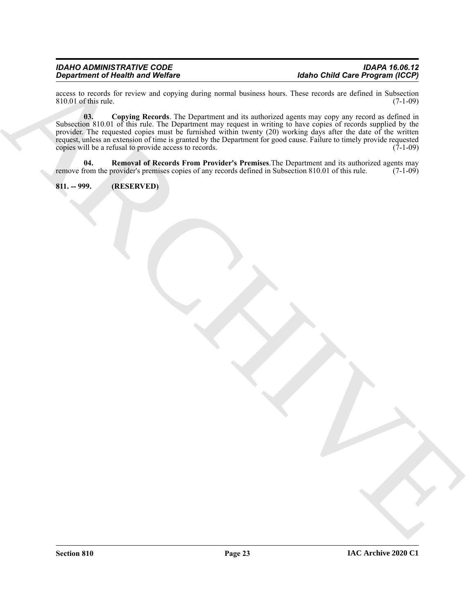## *IDAHO ADMINISTRATIVE CODE IDAPA 16.06.12*

## *Idaho Child Care Program (ICCP)*

<span id="page-22-1"></span>access to records for review and copying during normal business hours. These records are defined in Subsection 810.01 of this rule. (7-1-09)  $810.01$  of this rule.

 $\frac{1}{2}$  (a)  $\frac{1}{2}$  (b)  $\frac{1}{2}$  (b)  $\frac{1}{2}$  (c)  $\frac{1}{2}$  (c)  $\frac{1}{2}$  (c)  $\frac{1}{2}$  (c)  $\frac{1}{2}$  (c)  $\frac{1}{2}$  (c)  $\frac{1}{2}$  (c)  $\frac{1}{2}$  (c)  $\frac{1}{2}$  (c)  $\frac{1}{2}$  (c)  $\frac{1}{2}$  (c)  $\frac{1}{2}$  (c)  $\frac{1}{2}$  ( **03. Copying Records**. The Department and its authorized agents may copy any record as defined in Subsection 810.01 of this rule. The Department may request in writing to have copies of records supplied by the provider. The requested copies must be furnished within twenty (20) working days after the date of the written request, unless an extension of time is granted by the Department for good cause. Failure to timely provide requested<br>copies will be a refusal to provide access to records. (7-1-09) copies will be a refusal to provide access to records.

<span id="page-22-2"></span>**04. Removal of Records From Provider's Premises**. The Department and its authorized agents may from the provider's premises copies of any records defined in Subsection 810.01 of this rule. (7-1-09) remove from the provider's premises copies of any records defined in Subsection 810.01 of this rule.

#### <span id="page-22-0"></span>**811. -- 999. (RESERVED)**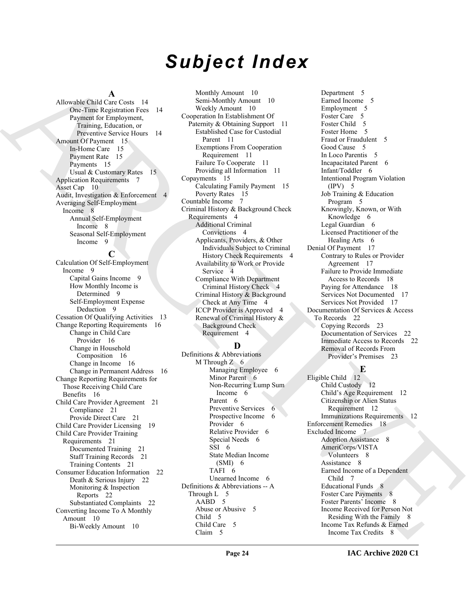# *Subject Index*

#### **A**

Allowable Child Care Costs 14 One-Time Registration Fees 14 Payment for Employment, Training, Education, or Preventive Service Hours 14 Amount Of Payment 15 In-Home Care 15 Payment Rate 15 Payments 15 Usual & Customary Rates 15 Application Requirements 7 Asset Cap 10 Audit, Investigation & Enforcement 4 Averaging Self-Employment Income 8 Annual Self-Employment Income 8 Seasonal Self-Employment Income 9

#### **C**

[A](#page-13-9)llowski (allowski internet allowski internet allowski internet allowski internet allowski (allowski internet allowski internet allowski internet allowski (allowski internet allowski internet allowski (allowski internet a Calculation Of Self-Employment Income 9 Capital Gains Income 9 How Monthly Income is Determined 9 Self-Employment Expense Deduction 9 Cessation Of Qualifying Activities 13 Change Reporting Requirements 16 Change in Child Care Provider 16 Change in Household Composition 16 Change in Income 16 Change in Permanent Address 16 Change Reporting Requirements for Those Receiving Child Care Benefits 16 Child Care Provider Agreement 21 Compliance 21 Provide Direct Care 21 Child Care Provider Licensing 19 Child Care Provider Training Requirements 21 Documented Training 21 Staff Training Records 21 Training Contents 21 Consumer Education Information 22 Death & Serious Injury 22 Monitoring & Inspection Reports 22 Substantiated Complaints 22 Converting Income To A Monthly Amount 10 Bi-Weekly Amount 10

Monthly Amount 10 Semi-Monthly Amount 10 Weekly Amount 10 Cooperation In Establishment Of Paternity & Obtaining Support 11 Established Case for Custodial Parent 11 Exemptions From Cooperation Requirement 11 Failure To Cooperate 11 Providing all Information 11 Copayments 15 Calculating Family Payment 15 Poverty Rates 15 Countable Income 7 Criminal History & Background Check Requirements 4 Additional Criminal Convictions 4 Applicants, Providers, & Other Individuals Subject to Criminal History Check Requirements 4 Availability to Work or Provide Service 4 Compliance With Department Criminal History Check 4 Criminal History & Background Check at Any Time 4 ICCP Provider is Approved 4 Renewal of Criminal History & Background Check Requirement 4

#### **D**

Definitions & Abbreviations M Through  $Z = 6$ Managing Employee 6 Minor Parent 6 Non-Recurring Lump Sum Income 6 Parent 6 Preventive Services 6 Prospective Income 6 Provider 6 Relative Provider 6 Special Needs 6 SSI 6 State Median Income  $(SMI)$  6 TAFI 6 Unearned Income 6 Definitions & Abbreviations -- A Through L 5 AABD 5 Abuse or Abusive 5 Child 5 Child Care 5 Claim 5

Department 5 Earned Income 5 Employment 5 Foster Care 5 Foster Child 5 Foster Home 5 Fraud or Fraudulent 5 Good Cause 5 In Loco Parentis 5 Incapacitated Parent 6 Infant/Toddler 6 Intentional Program Violation (IPV) 5 Job Training & Education Program 5 Knowingly, Known, or With Knowledge 6 Legal Guardian 6 Licensed Practitioner of the Healing Arts 6 Denial Of Payment 17 Contrary to Rules or Provider Agreement 17 Failure to Provide Immediate Access to Records 18 Paying for Attendance 18 Services Not Documented 17 Services Not Provided 17 Documentation Of Services & Access To Records 22 Copying Records 23 Documentation of Services 22 Immediate Access to Records 22 Removal of Records From Provider's Premises 23

**E**

Eligible Child 12 Child Custody 12 Child's Age Requirement 12 Citizenship or Alien Status Requirement 12 Immunizations Requirements 12 Enforcement Remedies 18 Excluded Income 7 Adoption Assistance 8 AmeriCorps/VISTA Volunteers 8 Assistance 8 Earned Income of a Dependent Child 7 Educational Funds 8 Foster Care Payments 8 Foster Parents' Income 8 Income Received for Person Not Residing With the Family 8 Income Tax Refunds & Earned Income Tax Credits 8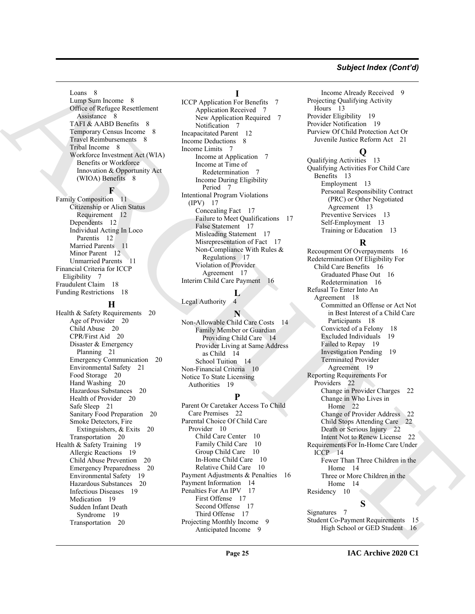#### *Subject Index (Cont'd)*

Loans 8 Lump Sum Income 8 Office of Refugee Resettlement Assistance 8 TAFI & AABD Benefits 8 Temporary Census Income 8 Travel Reimbursements 8 Tribal Income 8 Workforce Investment Act (WIA) Benefits or Workforce Innovation & Opportunity Act (WIOA) Benefits 8

#### **F**

Family Composition 11 Citizenship or Alien Status Requirement 12 Dependents 12 Individual Acting In Loco Parentis 12 Married Parents 11 Minor Parent 12 Unmarried Parents 11 Financial Criteria for ICCP Eligibility 7 Fraudulent Claim 18 Funding Restrictions 18

#### **H**

Health & Safety Requirements 20 Age of Provider 20 Child Abuse 20 CPR/First Aid 20 Disaster & Emergency Planning 21 Emergency Communication 20 Environmental Safety 21 Food Storage 20 Hand Washing 20 Hazardous Substances 20 Health of Provider 20 Safe Sleep 21 Sanitary Food Preparation 20 Smoke Detectors, Fire Extinguishers, & Exits 20 Transportation 20 Health & Safety Training 19 Allergic Reactions 19 Child Abuse Prevention 20 Emergency Preparedness 20 Environmental Safety 19 Hazardous Substances 20 Infectious Diseases 19 Medication 19 Sudden Infant Death Syndrome 19 Transportation 20

#### **I**

**ICCP** Application For Benefits Application Received 7 New Application Required 7 Notification 7 Incapacitated Parent 12 Income Deductions 8 Income Limits 7 Income at Application 7 Income at Time of **Redetermination** Income During Eligibility Period 7 Intentional Program Violations (IPV) 17 Concealing Fact 17 Failure to Meet Qualifications 17 False Statement 17 Misleading Statement 17 Misrepresentation of Fact 17 Non-Compliance With Rules & Regulations 17 Violation of Provider Agreement 17 Interim Child Care Payment 16

#### **L** Legal Authority 4

**N**

Non-Allowable Child Care Costs 14 Family Member or Guardian Providing Child Care 14 Provider Living at Same Address as Child 14 School Tuition 14 Non-Financial Criteria 10 Notice To State Licensing Authorities 19

#### **P**

Parent Or Caretaker Access To Child Care Premises 22 Parental Choice Of Child Care Provider 10 Child Care Center 10 Family Child Care 10 Group Child Care 10 In-Home Child Care 10 Relative Child Care 10 Payment Adjustments & Penalties 16 Payment Information 14 Penalties For An IPV 17 First Offense 17 Second Offense 17 Third Offense 17 Projecting Monthly Income 9 Anticipated Income 9

Income Already Received 9 Projecting Qualifying Activity Hours 13 Provider Eligibility 19 Provider Notification 19 Purview Of Child Protection Act Or Juvenile Justice Reform Act 21

#### **Q**

Qualifying Activities 13 Qualifying Activities For Child Care Benefits 13 Employment 13 Personal Responsibility Contract (PRC) or Other Negotiated Agreement 13 Preventive Services 13 Self-Employment 13 Training or Education 13

#### **R**

Learn [C](#page-16-13)ompany of the Company of the Company of the Company of the Company of the Company of the Company of the Company of the Company of the Company of the Company of the Company of the Company of the Company of the Compa Recoupment Of Overpayments 16 Redetermination Of Eligibility For Child Care Benefits 16 Graduated Phase Out 16 Redetermination 16 Refusal To Enter Into An Agreement 18 Committed an Offense or Act Not in Best Interest of a Child Care Participants 18 Convicted of a Felony 18 Excluded Individuals 19 Failed to Repay 19 Investigation Pending 19 Terminated Provider Agreement 19 Reporting Requirements For Providers 22 Change in Provider Charges 22 Change in Who Lives in Home 22 Change of Provider Address 22 Child Stops Attending Care 22 Death or Serious Injury 22 Intent Not to Renew License 22 Requirements For In-Home Care Under ICCP 14 Fewer Than Three Children in the Home 14 Three or More Children in the Home 14 Residency 10

### **S**

Signatures 7 Student Co-Payment Requirements 15 High School or GED Student 16